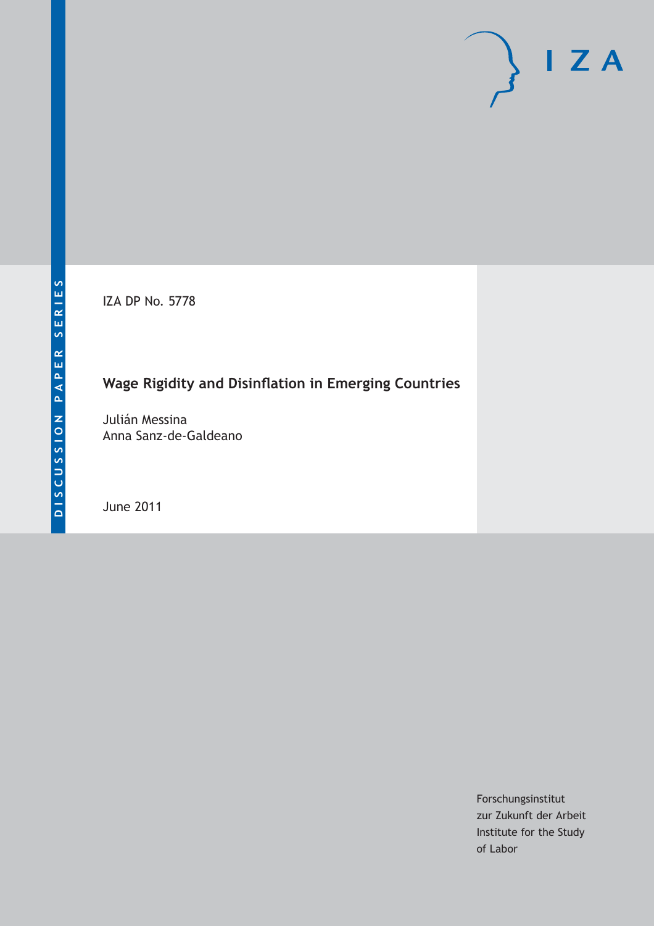IZA DP No. 5778

# **Wage Rigidity and Disinflation in Emerging Countries**

Julián Messina Anna Sanz-de-Galdeano

June 2011

Forschungsinstitut zur Zukunft der Arbeit Institute for the Study of Labor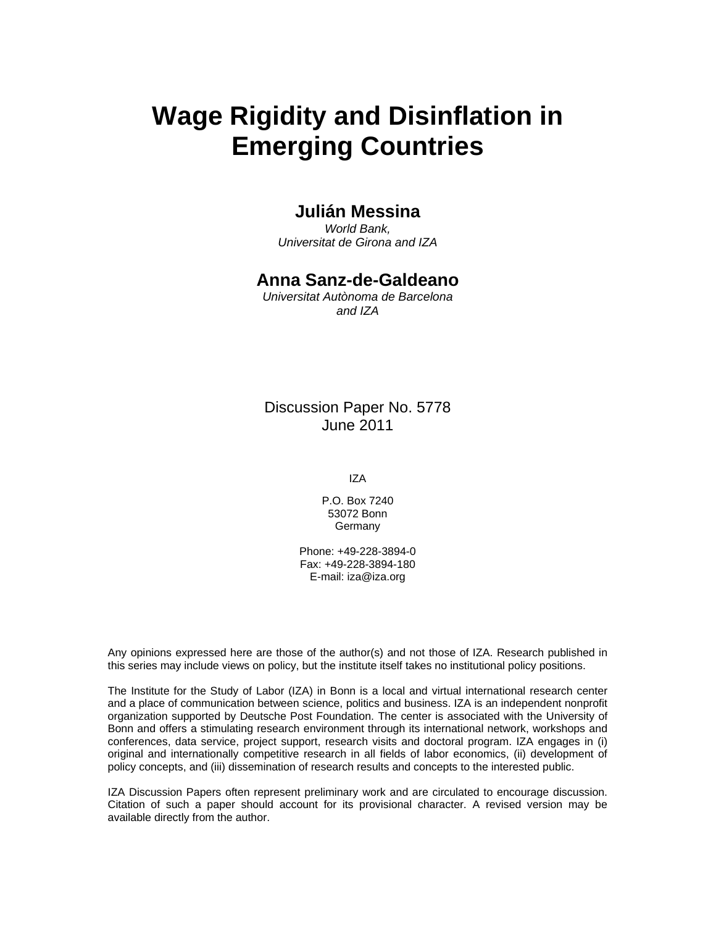# **Wage Rigidity and Disinflation in Emerging Countries**

# **Julián Messina**

*World Bank, Universitat de Girona and IZA* 

# **Anna Sanz-de-Galdeano**

*Universitat Autònoma de Barcelona and IZA* 

Discussion Paper No. 5778 June 2011

IZA

P.O. Box 7240 53072 Bonn **Germany** 

Phone: +49-228-3894-0 Fax: +49-228-3894-180 E-mail: iza@iza.org

Any opinions expressed here are those of the author(s) and not those of IZA. Research published in this series may include views on policy, but the institute itself takes no institutional policy positions.

The Institute for the Study of Labor (IZA) in Bonn is a local and virtual international research center and a place of communication between science, politics and business. IZA is an independent nonprofit organization supported by Deutsche Post Foundation. The center is associated with the University of Bonn and offers a stimulating research environment through its international network, workshops and conferences, data service, project support, research visits and doctoral program. IZA engages in (i) original and internationally competitive research in all fields of labor economics, (ii) development of policy concepts, and (iii) dissemination of research results and concepts to the interested public.

IZA Discussion Papers often represent preliminary work and are circulated to encourage discussion. Citation of such a paper should account for its provisional character. A revised version may be available directly from the author.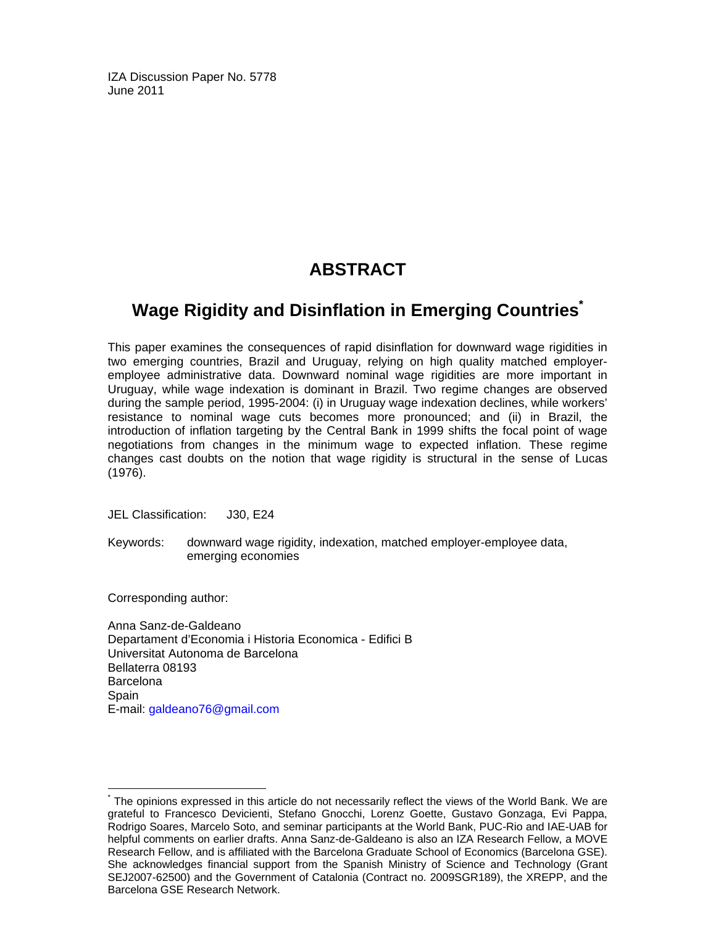IZA Discussion Paper No. 5778 June 2011

# **ABSTRACT**

# **Wage Rigidity and Disinflation in Emerging Countries\***

This paper examines the consequences of rapid disinflation for downward wage rigidities in two emerging countries, Brazil and Uruguay, relying on high quality matched employeremployee administrative data. Downward nominal wage rigidities are more important in Uruguay, while wage indexation is dominant in Brazil. Two regime changes are observed during the sample period, 1995-2004: (i) in Uruguay wage indexation declines, while workers' resistance to nominal wage cuts becomes more pronounced; and (ii) in Brazil, the introduction of inflation targeting by the Central Bank in 1999 shifts the focal point of wage negotiations from changes in the minimum wage to expected inflation. These regime changes cast doubts on the notion that wage rigidity is structural in the sense of Lucas (1976).

JEL Classification: J30, E24

Keywords: downward wage rigidity, indexation, matched employer-employee data, emerging economies

Corresponding author:

-

Anna Sanz-de-Galdeano Departament d'Economia i Historia Economica - Edifici B Universitat Autonoma de Barcelona Bellaterra 08193 **Barcelona** Spain E-mail: galdeano76@gmail.com

<sup>\*</sup> The opinions expressed in this article do not necessarily reflect the views of the World Bank. We are grateful to Francesco Devicienti, Stefano Gnocchi, Lorenz Goette, Gustavo Gonzaga, Evi Pappa, Rodrigo Soares, Marcelo Soto, and seminar participants at the World Bank, PUC-Rio and IAE-UAB for helpful comments on earlier drafts. Anna Sanz-de-Galdeano is also an IZA Research Fellow, a MOVE Research Fellow, and is affiliated with the Barcelona Graduate School of Economics (Barcelona GSE). She acknowledges financial support from the Spanish Ministry of Science and Technology (Grant SEJ2007-62500) and the Government of Catalonia (Contract no. 2009SGR189), the XREPP, and the Barcelona GSE Research Network.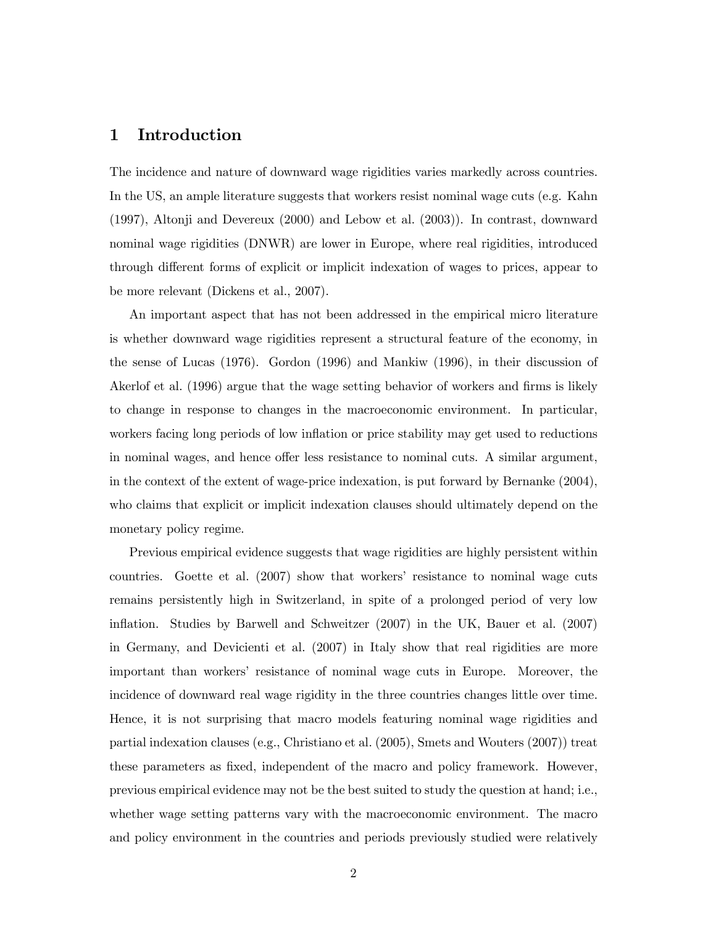# 1 Introduction

The incidence and nature of downward wage rigidities varies markedly across countries. In the US, an ample literature suggests that workers resist nominal wage cuts (e.g. Kahn (1997), Altonji and Devereux (2000) and Lebow et al. (2003)). In contrast, downward nominal wage rigidities (DNWR) are lower in Europe, where real rigidities, introduced through different forms of explicit or implicit indexation of wages to prices, appear to be more relevant (Dickens et al., 2007).

An important aspect that has not been addressed in the empirical micro literature is whether downward wage rigidities represent a structural feature of the economy, in the sense of Lucas (1976). Gordon (1996) and Mankiw (1996), in their discussion of Akerlof et al. (1996) argue that the wage setting behavior of workers and firms is likely to change in response to changes in the macroeconomic environment. In particular, workers facing long periods of low inflation or price stability may get used to reductions in nominal wages, and hence offer less resistance to nominal cuts. A similar argument, in the context of the extent of wage-price indexation, is put forward by Bernanke (2004), who claims that explicit or implicit indexation clauses should ultimately depend on the monetary policy regime.

Previous empirical evidence suggests that wage rigidities are highly persistent within countries. Goette et al. (2007) show that workers' resistance to nominal wage cuts remains persistently high in Switzerland, in spite of a prolonged period of very low inflation. Studies by Barwell and Schweitzer (2007) in the UK, Bauer et al. (2007) in Germany, and Devicienti et al. (2007) in Italy show that real rigidities are more important than workers' resistance of nominal wage cuts in Europe. Moreover, the incidence of downward real wage rigidity in the three countries changes little over time. Hence, it is not surprising that macro models featuring nominal wage rigidities and partial indexation clauses (e.g., Christiano et al. (2005), Smets and Wouters (2007)) treat these parameters as fixed, independent of the macro and policy framework. However, previous empirical evidence may not be the best suited to study the question at hand; i.e., whether wage setting patterns vary with the macroeconomic environment. The macro and policy environment in the countries and periods previously studied were relatively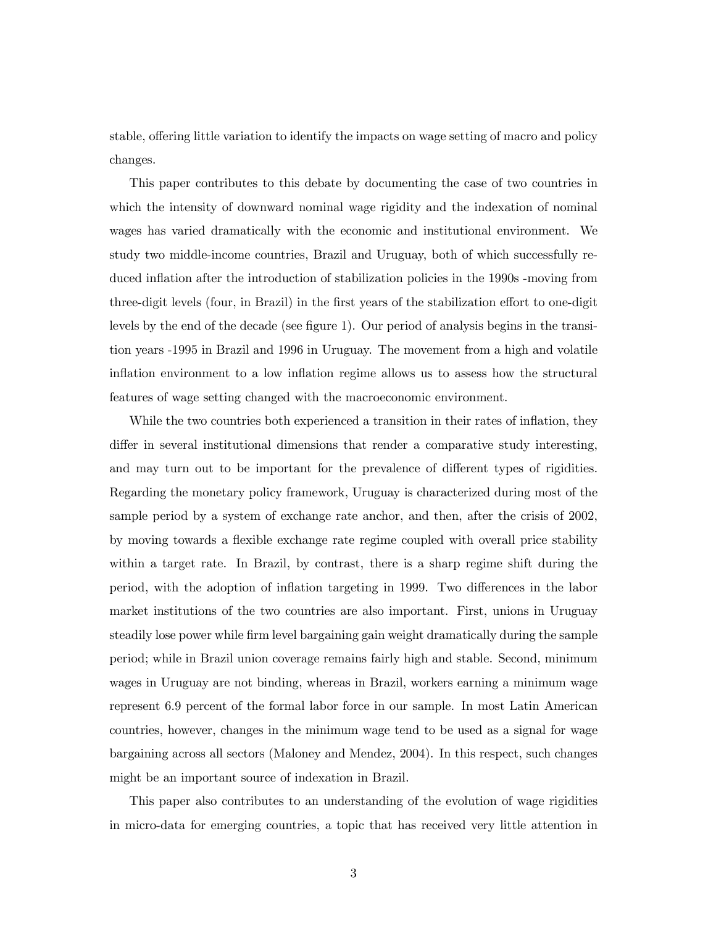stable, offering little variation to identify the impacts on wage setting of macro and policy changes.

This paper contributes to this debate by documenting the case of two countries in which the intensity of downward nominal wage rigidity and the indexation of nominal wages has varied dramatically with the economic and institutional environment. We study two middle-income countries, Brazil and Uruguay, both of which successfully reduced inflation after the introduction of stabilization policies in the 1990s -moving from three-digit levels (four, in Brazil) in the first years of the stabilization effort to one-digit levels by the end of the decade (see figure 1). Our period of analysis begins in the transition years -1995 in Brazil and 1996 in Uruguay. The movement from a high and volatile inflation environment to a low inflation regime allows us to assess how the structural features of wage setting changed with the macroeconomic environment.

While the two countries both experienced a transition in their rates of inflation, they differ in several institutional dimensions that render a comparative study interesting, and may turn out to be important for the prevalence of different types of rigidities. Regarding the monetary policy framework, Uruguay is characterized during most of the sample period by a system of exchange rate anchor, and then, after the crisis of 2002, by moving towards a flexible exchange rate regime coupled with overall price stability within a target rate. In Brazil, by contrast, there is a sharp regime shift during the period, with the adoption of inflation targeting in 1999. Two differences in the labor market institutions of the two countries are also important. First, unions in Uruguay steadily lose power while firm level bargaining gain weight dramatically during the sample period; while in Brazil union coverage remains fairly high and stable. Second, minimum wages in Uruguay are not binding, whereas in Brazil, workers earning a minimum wage represent 6.9 percent of the formal labor force in our sample. In most Latin American countries, however, changes in the minimum wage tend to be used as a signal for wage bargaining across all sectors (Maloney and Mendez, 2004). In this respect, such changes might be an important source of indexation in Brazil.

This paper also contributes to an understanding of the evolution of wage rigidities in micro-data for emerging countries, a topic that has received very little attention in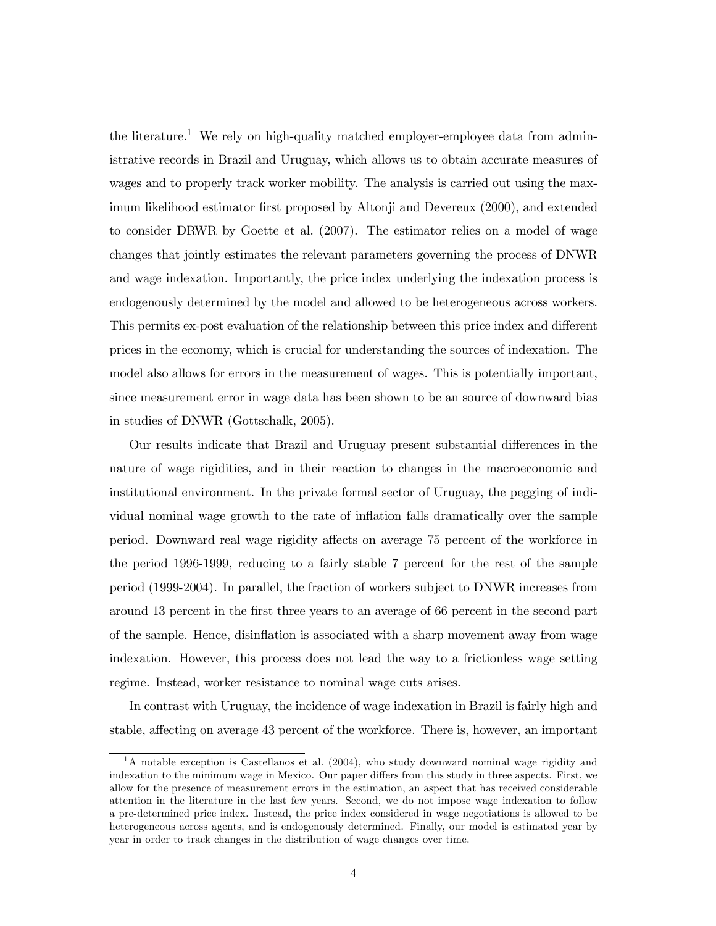the literature.<sup>1</sup> We rely on high-quality matched employer-employee data from administrative records in Brazil and Uruguay, which allows us to obtain accurate measures of wages and to properly track worker mobility. The analysis is carried out using the maximum likelihood estimator first proposed by Altonji and Devereux (2000), and extended to consider DRWR by Goette et al. (2007). The estimator relies on a model of wage changes that jointly estimates the relevant parameters governing the process of DNWR and wage indexation. Importantly, the price index underlying the indexation process is endogenously determined by the model and allowed to be heterogeneous across workers. This permits ex-post evaluation of the relationship between this price index and different prices in the economy, which is crucial for understanding the sources of indexation. The model also allows for errors in the measurement of wages. This is potentially important, since measurement error in wage data has been shown to be an source of downward bias in studies of DNWR (Gottschalk, 2005).

Our results indicate that Brazil and Uruguay present substantial differences in the nature of wage rigidities, and in their reaction to changes in the macroeconomic and institutional environment. In the private formal sector of Uruguay, the pegging of individual nominal wage growth to the rate of inflation falls dramatically over the sample period. Downward real wage rigidity affects on average 75 percent of the workforce in the period 1996-1999, reducing to a fairly stable 7 percent for the rest of the sample period (1999-2004). In parallel, the fraction of workers subject to DNWR increases from around 13 percent in the first three years to an average of 66 percent in the second part of the sample. Hence, disinflation is associated with a sharp movement away from wage indexation. However, this process does not lead the way to a frictionless wage setting regime. Instead, worker resistance to nominal wage cuts arises.

In contrast with Uruguay, the incidence of wage indexation in Brazil is fairly high and stable, affecting on average 43 percent of the workforce. There is, however, an important

 $1<sup>1</sup>$ A notable exception is Castellanos et al. (2004), who study downward nominal wage rigidity and indexation to the minimum wage in Mexico. Our paper differs from this study in three aspects. First, we allow for the presence of measurement errors in the estimation, an aspect that has received considerable attention in the literature in the last few years. Second, we do not impose wage indexation to follow a pre-determined price index. Instead, the price index considered in wage negotiations is allowed to be heterogeneous across agents, and is endogenously determined. Finally, our model is estimated year by year in order to track changes in the distribution of wage changes over time.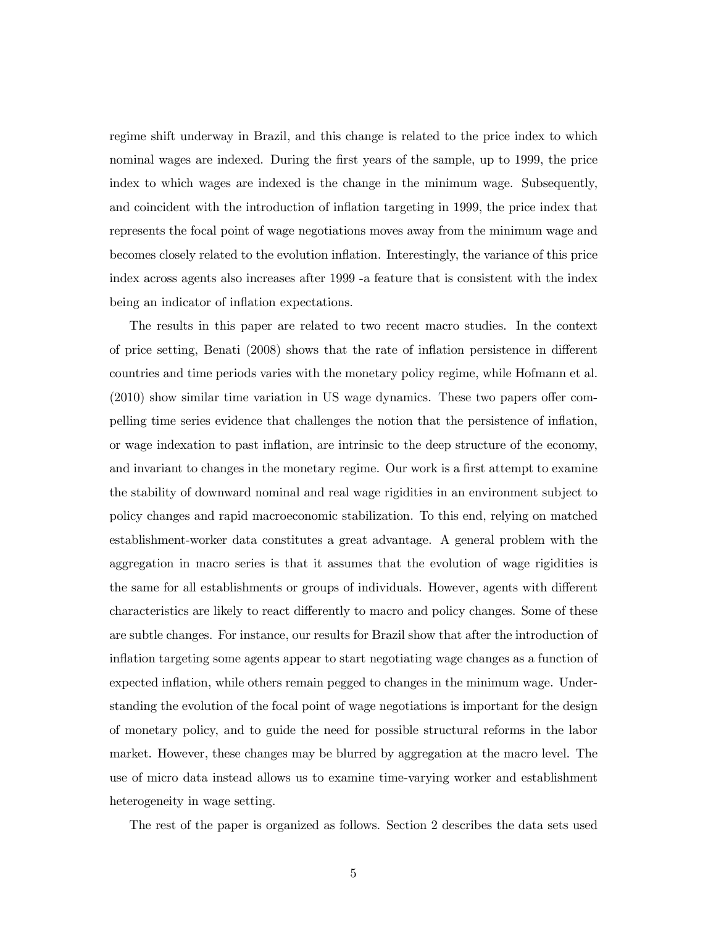regime shift underway in Brazil, and this change is related to the price index to which nominal wages are indexed. During the first years of the sample, up to 1999, the price index to which wages are indexed is the change in the minimum wage. Subsequently, and coincident with the introduction of inflation targeting in 1999, the price index that represents the focal point of wage negotiations moves away from the minimum wage and becomes closely related to the evolution inflation. Interestingly, the variance of this price index across agents also increases after 1999 -a feature that is consistent with the index being an indicator of inflation expectations.

The results in this paper are related to two recent macro studies. In the context of price setting, Benati (2008) shows that the rate of inflation persistence in different countries and time periods varies with the monetary policy regime, while Hofmann et al. (2010) show similar time variation in US wage dynamics. These two papers offer compelling time series evidence that challenges the notion that the persistence of inflation, or wage indexation to past inflation, are intrinsic to the deep structure of the economy, and invariant to changes in the monetary regime. Our work is a first attempt to examine the stability of downward nominal and real wage rigidities in an environment subject to policy changes and rapid macroeconomic stabilization. To this end, relying on matched establishment-worker data constitutes a great advantage. A general problem with the aggregation in macro series is that it assumes that the evolution of wage rigidities is the same for all establishments or groups of individuals. However, agents with different characteristics are likely to react differently to macro and policy changes. Some of these are subtle changes. For instance, our results for Brazil show that after the introduction of inflation targeting some agents appear to start negotiating wage changes as a function of expected inflation, while others remain pegged to changes in the minimum wage. Understanding the evolution of the focal point of wage negotiations is important for the design of monetary policy, and to guide the need for possible structural reforms in the labor market. However, these changes may be blurred by aggregation at the macro level. The use of micro data instead allows us to examine time-varying worker and establishment heterogeneity in wage setting.

The rest of the paper is organized as follows. Section 2 describes the data sets used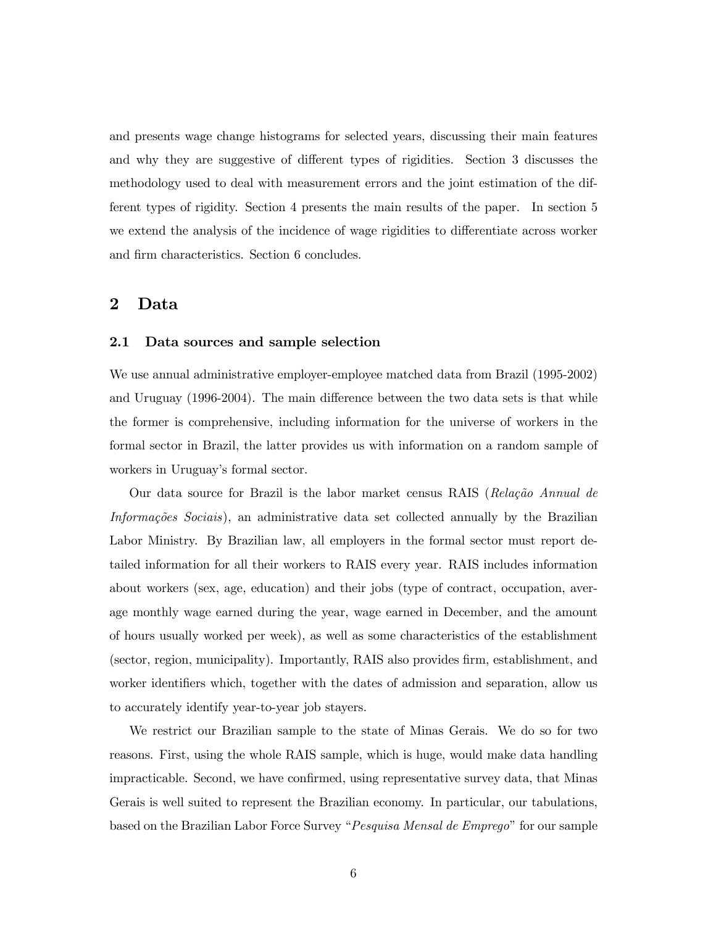and presents wage change histograms for selected years, discussing their main features and why they are suggestive of different types of rigidities. Section 3 discusses the methodology used to deal with measurement errors and the joint estimation of the different types of rigidity. Section 4 presents the main results of the paper. In section 5 we extend the analysis of the incidence of wage rigidities to differentiate across worker and firm characteristics. Section 6 concludes.

# 2 Data

#### 2.1 Data sources and sample selection

We use annual administrative employer-employee matched data from Brazil (1995-2002) and Uruguay (1996-2004). The main difference between the two data sets is that while the former is comprehensive, including information for the universe of workers in the formal sector in Brazil, the latter provides us with information on a random sample of workers in Uruguay's formal sector.

Our data source for Brazil is the labor market census RAIS (Relação Annual de Informações Sociais), an administrative data set collected annually by the Brazilian Labor Ministry. By Brazilian law, all employers in the formal sector must report detailed information for all their workers to RAIS every year. RAIS includes information about workers (sex, age, education) and their jobs (type of contract, occupation, average monthly wage earned during the year, wage earned in December, and the amount of hours usually worked per week), as well as some characteristics of the establishment (sector, region, municipality). Importantly, RAIS also provides firm, establishment, and worker identifiers which, together with the dates of admission and separation, allow us to accurately identify year-to-year job stayers.

We restrict our Brazilian sample to the state of Minas Gerais. We do so for two reasons. First, using the whole RAIS sample, which is huge, would make data handling impracticable. Second, we have confirmed, using representative survey data, that Minas Gerais is well suited to represent the Brazilian economy. In particular, our tabulations, based on the Brazilian Labor Force Survey "Pesquisa Mensal de Emprego" for our sample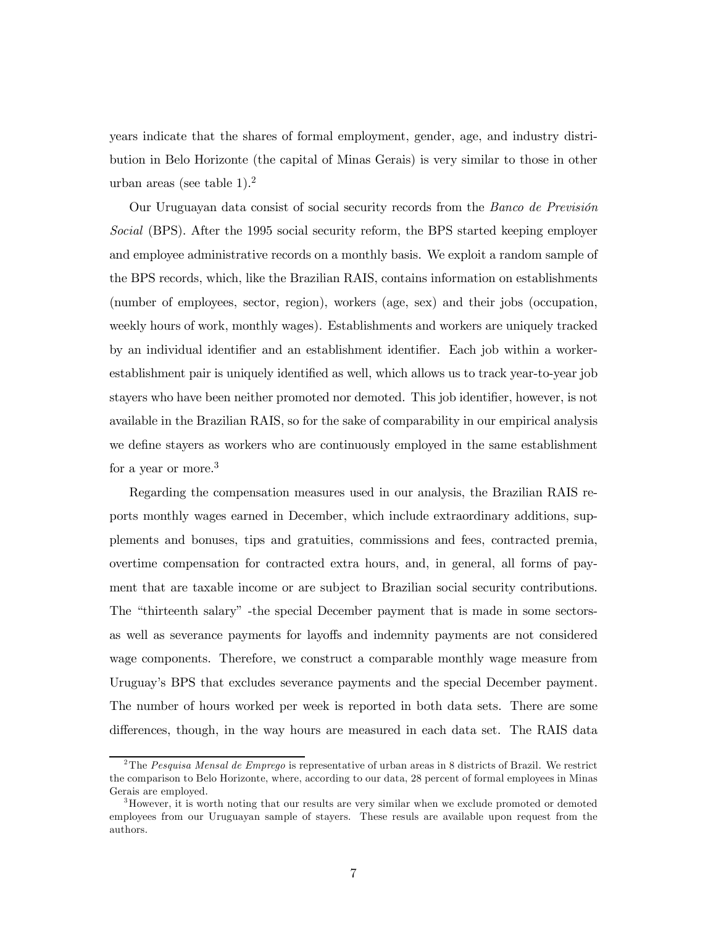years indicate that the shares of formal employment, gender, age, and industry distribution in Belo Horizonte (the capital of Minas Gerais) is very similar to those in other urban areas (see table 1).<sup>2</sup>

Our Uruguayan data consist of social security records from the Banco de Previsión Social (BPS). After the 1995 social security reform, the BPS started keeping employer and employee administrative records on a monthly basis. We exploit a random sample of the BPS records, which, like the Brazilian RAIS, contains information on establishments (number of employees, sector, region), workers (age, sex) and their jobs (occupation, weekly hours of work, monthly wages). Establishments and workers are uniquely tracked by an individual identifier and an establishment identifier. Each job within a workerestablishment pair is uniquely identified as well, which allows us to track year-to-year job stayers who have been neither promoted nor demoted. This job identifier, however, is not available in the Brazilian RAIS, so for the sake of comparability in our empirical analysis we define stayers as workers who are continuously employed in the same establishment for a year or more.<sup>3</sup>

Regarding the compensation measures used in our analysis, the Brazilian RAIS reports monthly wages earned in December, which include extraordinary additions, supplements and bonuses, tips and gratuities, commissions and fees, contracted premia, overtime compensation for contracted extra hours, and, in general, all forms of payment that are taxable income or are subject to Brazilian social security contributions. The "thirteenth salary" -the special December payment that is made in some sectorsas well as severance payments for layoffs and indemnity payments are not considered wage components. Therefore, we construct a comparable monthly wage measure from Uruguay's BPS that excludes severance payments and the special December payment. The number of hours worked per week is reported in both data sets. There are some differences, though, in the way hours are measured in each data set. The RAIS data

<sup>&</sup>lt;sup>2</sup>The Pesquisa Mensal de Emprego is representative of urban areas in 8 districts of Brazil. We restrict the comparison to Belo Horizonte, where, according to our data, 28 percent of formal employees in Minas Gerais are employed.

<sup>&</sup>lt;sup>3</sup>However, it is worth noting that our results are very similar when we exclude promoted or demoted employees from our Uruguayan sample of stayers. These resuls are available upon request from the authors.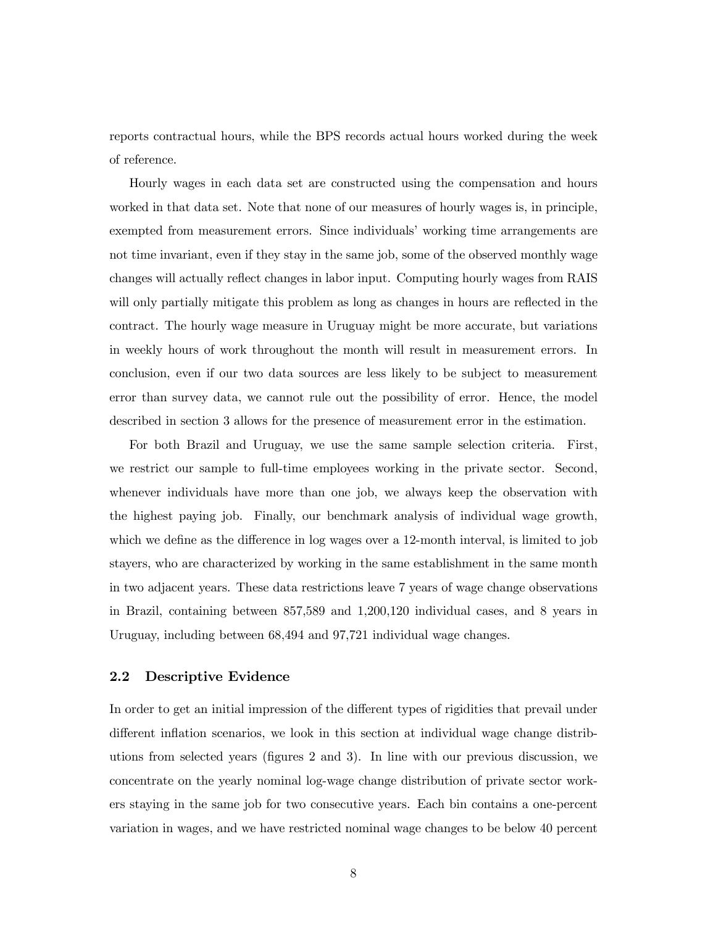reports contractual hours, while the BPS records actual hours worked during the week of reference.

Hourly wages in each data set are constructed using the compensation and hours worked in that data set. Note that none of our measures of hourly wages is, in principle, exempted from measurement errors. Since individuals' working time arrangements are not time invariant, even if they stay in the same job, some of the observed monthly wage changes will actually reflect changes in labor input. Computing hourly wages from RAIS will only partially mitigate this problem as long as changes in hours are reflected in the contract. The hourly wage measure in Uruguay might be more accurate, but variations in weekly hours of work throughout the month will result in measurement errors. In conclusion, even if our two data sources are less likely to be subject to measurement error than survey data, we cannot rule out the possibility of error. Hence, the model described in section 3 allows for the presence of measurement error in the estimation.

For both Brazil and Uruguay, we use the same sample selection criteria. First, we restrict our sample to full-time employees working in the private sector. Second, whenever individuals have more than one job, we always keep the observation with the highest paying job. Finally, our benchmark analysis of individual wage growth, which we define as the difference in log wages over a 12-month interval, is limited to job stayers, who are characterized by working in the same establishment in the same month in two adjacent years. These data restrictions leave 7 years of wage change observations in Brazil, containing between 857,589 and 1,200,120 individual cases, and 8 years in Uruguay, including between 68,494 and 97,721 individual wage changes.

#### 2.2 Descriptive Evidence

In order to get an initial impression of the different types of rigidities that prevail under different inflation scenarios, we look in this section at individual wage change distributions from selected years (figures 2 and 3). In line with our previous discussion, we concentrate on the yearly nominal log-wage change distribution of private sector workers staying in the same job for two consecutive years. Each bin contains a one-percent variation in wages, and we have restricted nominal wage changes to be below 40 percent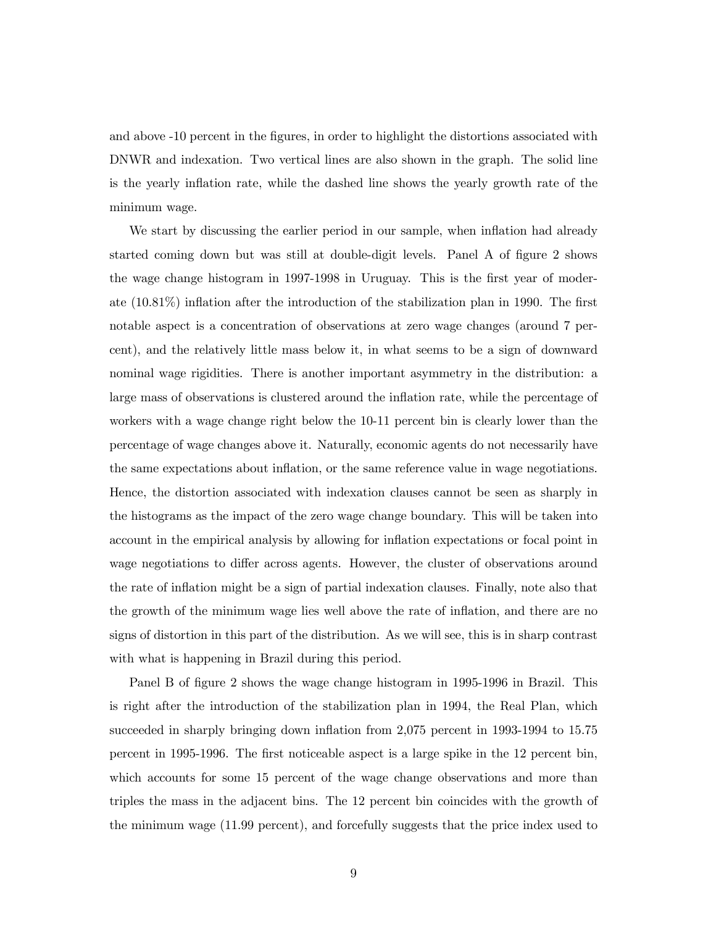and above -10 percent in the figures, in order to highlight the distortions associated with DNWR and indexation. Two vertical lines are also shown in the graph. The solid line is the yearly inflation rate, while the dashed line shows the yearly growth rate of the minimum wage.

We start by discussing the earlier period in our sample, when inflation had already started coming down but was still at double-digit levels. Panel A of figure 2 shows the wage change histogram in 1997-1998 in Uruguay. This is the first year of moderate (10.81%) inflation after the introduction of the stabilization plan in 1990. The first notable aspect is a concentration of observations at zero wage changes (around 7 percent), and the relatively little mass below it, in what seems to be a sign of downward nominal wage rigidities. There is another important asymmetry in the distribution: a large mass of observations is clustered around the inflation rate, while the percentage of workers with a wage change right below the 10-11 percent bin is clearly lower than the percentage of wage changes above it. Naturally, economic agents do not necessarily have the same expectations about inflation, or the same reference value in wage negotiations. Hence, the distortion associated with indexation clauses cannot be seen as sharply in the histograms as the impact of the zero wage change boundary. This will be taken into account in the empirical analysis by allowing for inflation expectations or focal point in wage negotiations to differ across agents. However, the cluster of observations around the rate of inflation might be a sign of partial indexation clauses. Finally, note also that the growth of the minimum wage lies well above the rate of inflation, and there are no signs of distortion in this part of the distribution. As we will see, this is in sharp contrast with what is happening in Brazil during this period.

Panel B of figure 2 shows the wage change histogram in 1995-1996 in Brazil. This is right after the introduction of the stabilization plan in 1994, the Real Plan, which succeeded in sharply bringing down inflation from 2,075 percent in 1993-1994 to 15.75 percent in 1995-1996. The first noticeable aspect is a large spike in the 12 percent bin, which accounts for some 15 percent of the wage change observations and more than triples the mass in the adjacent bins. The 12 percent bin coincides with the growth of the minimum wage (11.99 percent), and forcefully suggests that the price index used to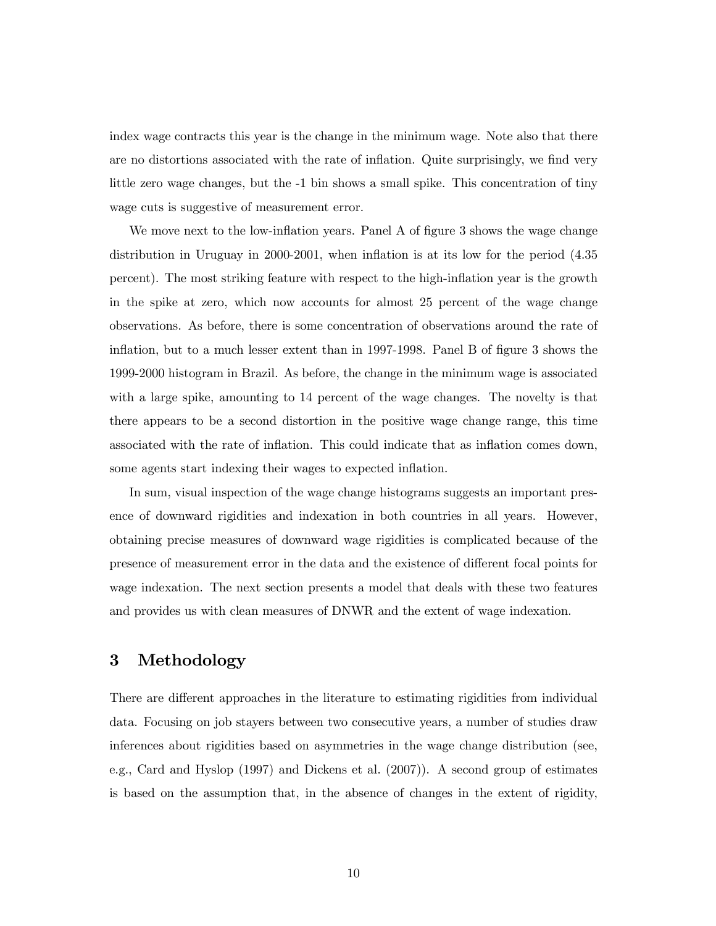index wage contracts this year is the change in the minimum wage. Note also that there are no distortions associated with the rate of inflation. Quite surprisingly, we find very little zero wage changes, but the -1 bin shows a small spike. This concentration of tiny wage cuts is suggestive of measurement error.

We move next to the low-inflation years. Panel A of figure 3 shows the wage change distribution in Uruguay in 2000-2001, when inflation is at its low for the period (4.35 percent). The most striking feature with respect to the high-inflation year is the growth in the spike at zero, which now accounts for almost 25 percent of the wage change observations. As before, there is some concentration of observations around the rate of inflation, but to a much lesser extent than in 1997-1998. Panel B of figure 3 shows the 1999-2000 histogram in Brazil. As before, the change in the minimum wage is associated with a large spike, amounting to 14 percent of the wage changes. The novelty is that there appears to be a second distortion in the positive wage change range, this time associated with the rate of inflation. This could indicate that as inflation comes down, some agents start indexing their wages to expected inflation.

In sum, visual inspection of the wage change histograms suggests an important presence of downward rigidities and indexation in both countries in all years. However, obtaining precise measures of downward wage rigidities is complicated because of the presence of measurement error in the data and the existence of different focal points for wage indexation. The next section presents a model that deals with these two features and provides us with clean measures of DNWR and the extent of wage indexation.

# 3 Methodology

There are different approaches in the literature to estimating rigidities from individual data. Focusing on job stayers between two consecutive years, a number of studies draw inferences about rigidities based on asymmetries in the wage change distribution (see, e.g., Card and Hyslop (1997) and Dickens et al. (2007)). A second group of estimates is based on the assumption that, in the absence of changes in the extent of rigidity,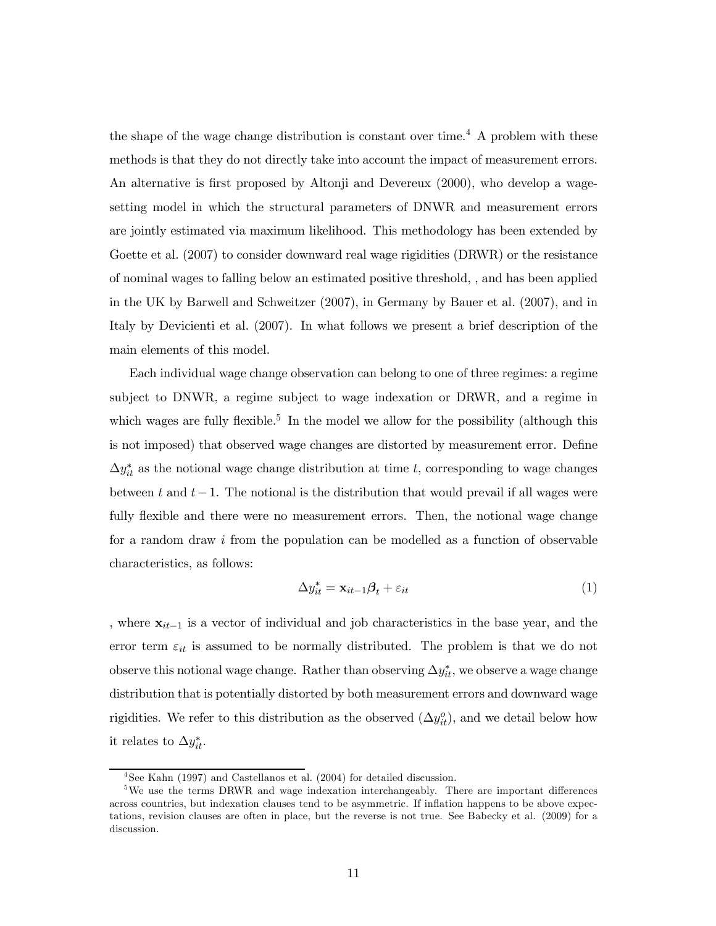the shape of the wage change distribution is constant over time.<sup>4</sup> A problem with these methods is that they do not directly take into account the impact of measurement errors. An alternative is first proposed by Altonji and Devereux (2000), who develop a wagesetting model in which the structural parameters of DNWR and measurement errors are jointly estimated via maximum likelihood. This methodology has been extended by Goette et al. (2007) to consider downward real wage rigidities (DRWR) or the resistance of nominal wages to falling below an estimated positive threshold, , and has been applied in the UK by Barwell and Schweitzer (2007), in Germany by Bauer et al. (2007), and in Italy by Devicienti et al. (2007). In what follows we present a brief description of the main elements of this model.

Each individual wage change observation can belong to one of three regimes: a regime subject to DNWR, a regime subject to wage indexation or DRWR, and a regime in which wages are fully flexible.<sup>5</sup> In the model we allow for the possibility (although this is not imposed) that observed wage changes are distorted by measurement error. Define  $\Delta y_{it}^*$  as the notional wage change distribution at time t, corresponding to wage changes between t and  $t-1$ . The notional is the distribution that would prevail if all wages were fully flexible and there were no measurement errors. Then, the notional wage change for a random draw i from the population can be modelled as a function of observable characteristics, as follows:

$$
\Delta y_{it}^* = \mathbf{x}_{it-1} \boldsymbol{\beta}_t + \varepsilon_{it} \tag{1}
$$

, where  $\mathbf{x}_{it-1}$  is a vector of individual and job characteristics in the base year, and the error term  $\varepsilon_{it}$  is assumed to be normally distributed. The problem is that we do not observe this notional wage change. Rather than observing  $\Delta y_{it}^*$ , we observe a wage change distribution that is potentially distorted by both measurement errors and downward wage rigidities. We refer to this distribution as the observed  $(\Delta y_{it}^o)$ , and we detail below how it relates to  $\Delta y_{it}^*$ .

<sup>&</sup>lt;sup>4</sup>See Kahn (1997) and Castellanos et al. (2004) for detailed discussion.

<sup>&</sup>lt;sup>5</sup>We use the terms DRWR and wage indexation interchangeably. There are important differences across countries, but indexation clauses tend to be asymmetric. If inflation happens to be above expectations, revision clauses are often in place, but the reverse is not true. See Babecky et al. (2009) for a discussion.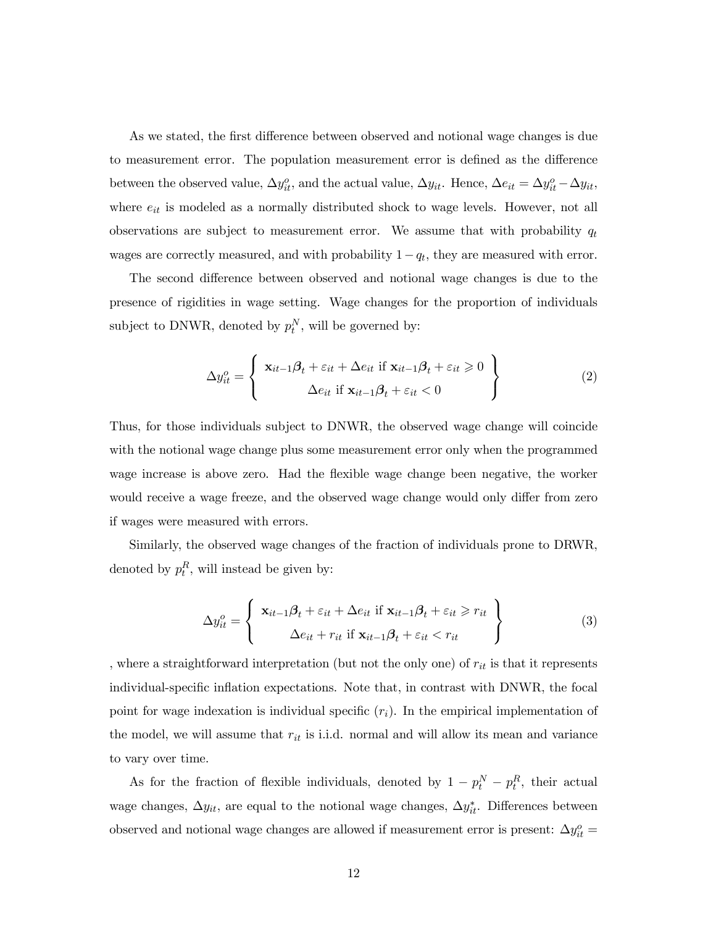As we stated, the first difference between observed and notional wage changes is due to measurement error. The population measurement error is defined as the difference between the observed value,  $\Delta y_{it}^o$ , and the actual value,  $\Delta y_{it}$ . Hence,  $\Delta e_{it} = \Delta y_{it}^o - \Delta y_{it}$ , where  $e_{it}$  is modeled as a normally distributed shock to wage levels. However, not all observations are subject to measurement error. We assume that with probability  $q_t$ wages are correctly measured, and with probability  $1-q_t$ , they are measured with error.

The second difference between observed and notional wage changes is due to the presence of rigidities in wage setting. Wage changes for the proportion of individuals subject to DNWR, denoted by  $p_t^N$ , will be governed by:

$$
\Delta y_{it}^o = \left\{ \begin{array}{c} \mathbf{x}_{it-1} \boldsymbol{\beta}_t + \varepsilon_{it} + \Delta e_{it} \text{ if } \mathbf{x}_{it-1} \boldsymbol{\beta}_t + \varepsilon_{it} \ge 0 \\ \Delta e_{it} \text{ if } \mathbf{x}_{it-1} \boldsymbol{\beta}_t + \varepsilon_{it} < 0 \end{array} \right\} \tag{2}
$$

Thus, for those individuals subject to DNWR, the observed wage change will coincide with the notional wage change plus some measurement error only when the programmed wage increase is above zero. Had the flexible wage change been negative, the worker would receive a wage freeze, and the observed wage change would only differ from zero if wages were measured with errors.

Similarly, the observed wage changes of the fraction of individuals prone to DRWR, denoted by  $p_t^R$ , will instead be given by:

$$
\Delta y_{it}^o = \left\{ \begin{array}{c} \mathbf{x}_{it-1} \boldsymbol{\beta}_t + \varepsilon_{it} + \Delta e_{it} \text{ if } \mathbf{x}_{it-1} \boldsymbol{\beta}_t + \varepsilon_{it} \ge r_{it} \\ \Delta e_{it} + r_{it} \text{ if } \mathbf{x}_{it-1} \boldsymbol{\beta}_t + \varepsilon_{it} < r_{it} \end{array} \right\}
$$
(3)

, where a straightforward interpretation (but not the only one) of  $r_{it}$  is that it represents individual-specific inflation expectations. Note that, in contrast with DNWR, the focal point for wage indexation is individual specific  $(r_i)$ . In the empirical implementation of the model, we will assume that  $r_{it}$  is i.i.d. normal and will allow its mean and variance to vary over time.

As for the fraction of flexible individuals, denoted by  $1 - p_t^N - p_t^R$ , their actual wage changes,  $\Delta y_{it}$ , are equal to the notional wage changes,  $\Delta y_{it}^*$ . Differences between observed and notional wage changes are allowed if measurement error is present:  $\Delta y_{it}^o$  =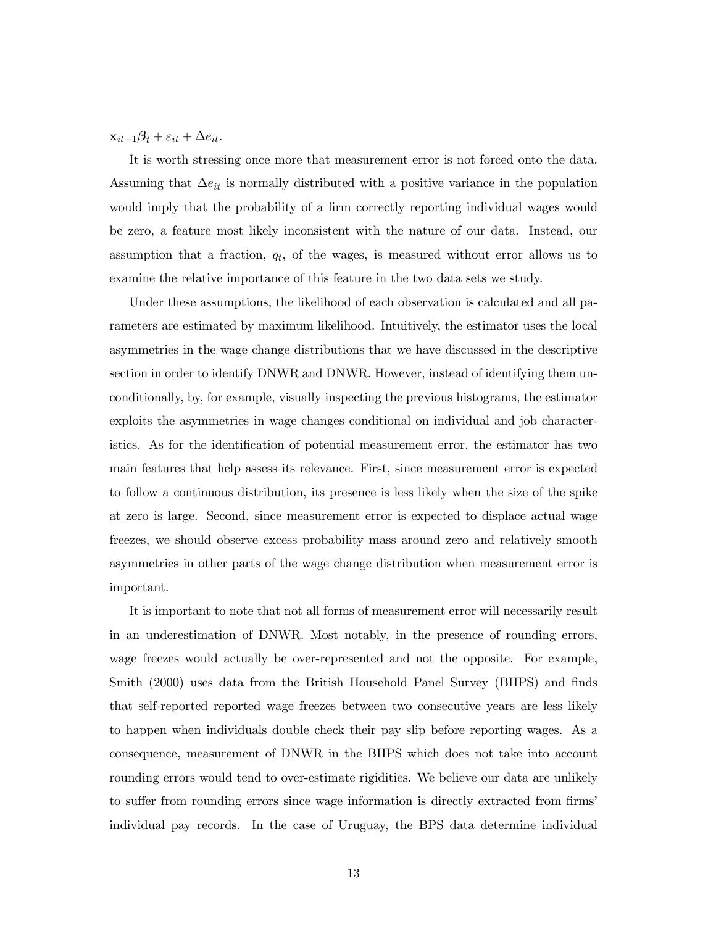$\mathbf{x}_{it-1}\boldsymbol{\beta}_t + \varepsilon_{it} + \Delta e_{it}.$ 

It is worth stressing once more that measurement error is not forced onto the data. Assuming that  $\Delta e_{it}$  is normally distributed with a positive variance in the population would imply that the probability of a firm correctly reporting individual wages would be zero, a feature most likely inconsistent with the nature of our data. Instead, our assumption that a fraction,  $q_t$ , of the wages, is measured without error allows us to examine the relative importance of this feature in the two data sets we study.

Under these assumptions, the likelihood of each observation is calculated and all parameters are estimated by maximum likelihood. Intuitively, the estimator uses the local asymmetries in the wage change distributions that we have discussed in the descriptive section in order to identify DNWR and DNWR. However, instead of identifying them unconditionally, by, for example, visually inspecting the previous histograms, the estimator exploits the asymmetries in wage changes conditional on individual and job characteristics. As for the identification of potential measurement error, the estimator has two main features that help assess its relevance. First, since measurement error is expected to follow a continuous distribution, its presence is less likely when the size of the spike at zero is large. Second, since measurement error is expected to displace actual wage freezes, we should observe excess probability mass around zero and relatively smooth asymmetries in other parts of the wage change distribution when measurement error is important.

It is important to note that not all forms of measurement error will necessarily result in an underestimation of DNWR. Most notably, in the presence of rounding errors, wage freezes would actually be over-represented and not the opposite. For example, Smith (2000) uses data from the British Household Panel Survey (BHPS) and finds that self-reported reported wage freezes between two consecutive years are less likely to happen when individuals double check their pay slip before reporting wages. As a consequence, measurement of DNWR in the BHPS which does not take into account rounding errors would tend to over-estimate rigidities. We believe our data are unlikely to suffer from rounding errors since wage information is directly extracted from firms' individual pay records. In the case of Uruguay, the BPS data determine individual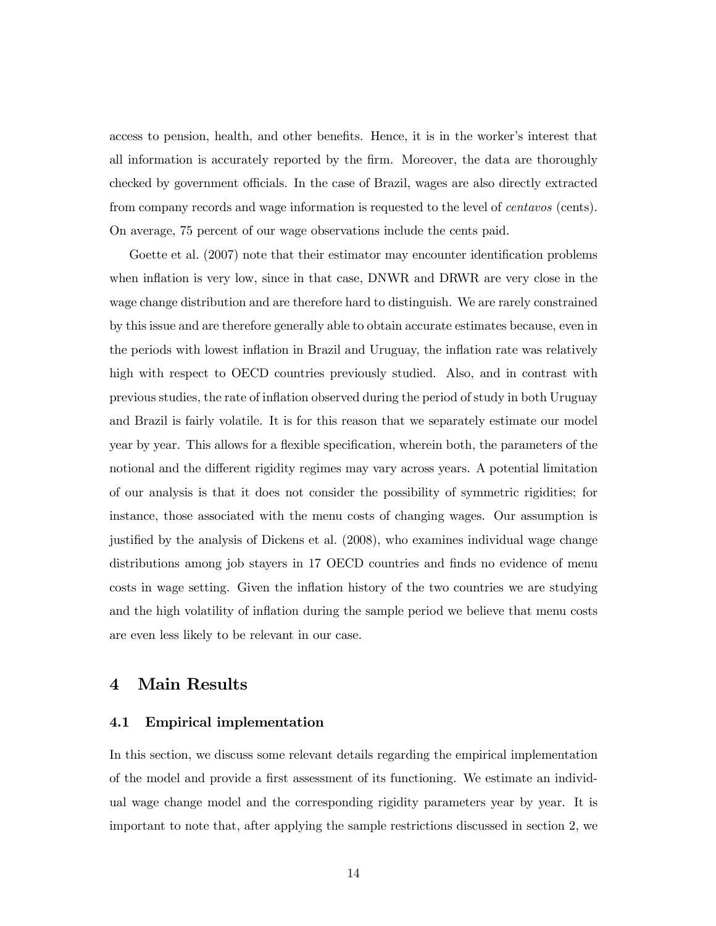access to pension, health, and other benefits. Hence, it is in the worker's interest that all information is accurately reported by the firm. Moreover, the data are thoroughly checked by government officials. In the case of Brazil, wages are also directly extracted from company records and wage information is requested to the level of *centavos* (cents). On average, 75 percent of our wage observations include the cents paid.

Goette et al. (2007) note that their estimator may encounter identification problems when inflation is very low, since in that case, DNWR and DRWR are very close in the wage change distribution and are therefore hard to distinguish. We are rarely constrained by this issue and are therefore generally able to obtain accurate estimates because, even in the periods with lowest inflation in Brazil and Uruguay, the inflation rate was relatively high with respect to OECD countries previously studied. Also, and in contrast with previous studies, the rate of inflation observed during the period of study in both Uruguay and Brazil is fairly volatile. It is for this reason that we separately estimate our model year by year. This allows for a flexible specification, wherein both, the parameters of the notional and the different rigidity regimes may vary across years. A potential limitation of our analysis is that it does not consider the possibility of symmetric rigidities; for instance, those associated with the menu costs of changing wages. Our assumption is justified by the analysis of Dickens et al. (2008), who examines individual wage change distributions among job stayers in 17 OECD countries and finds no evidence of menu costs in wage setting. Given the inflation history of the two countries we are studying and the high volatility of inflation during the sample period we believe that menu costs are even less likely to be relevant in our case.

#### 4 Main Results

#### 4.1 Empirical implementation

In this section, we discuss some relevant details regarding the empirical implementation of the model and provide a first assessment of its functioning. We estimate an individual wage change model and the corresponding rigidity parameters year by year. It is important to note that, after applying the sample restrictions discussed in section 2, we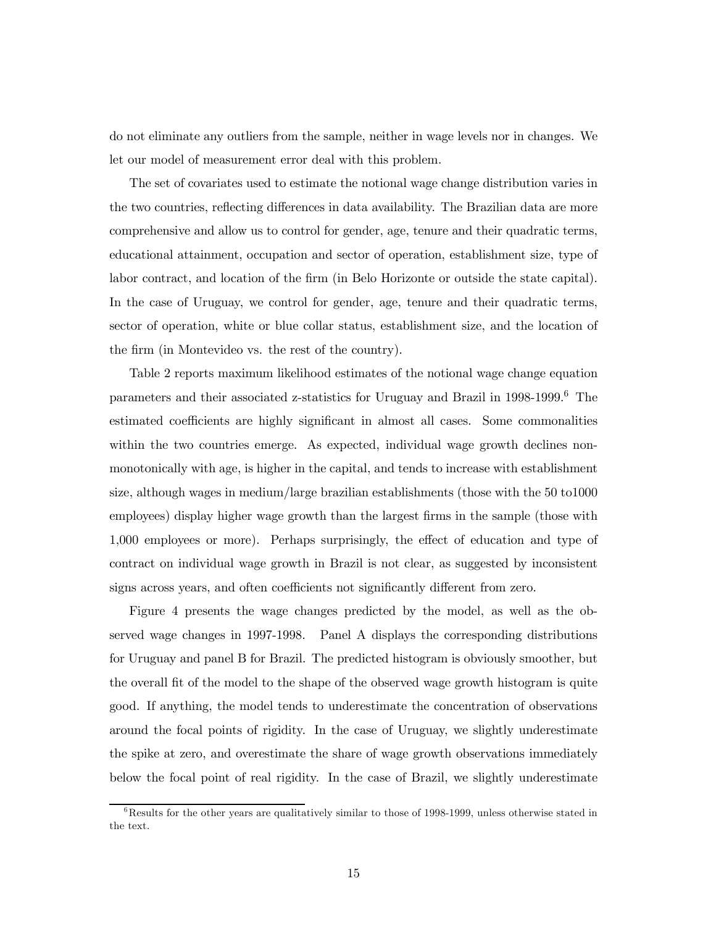do not eliminate any outliers from the sample, neither in wage levels nor in changes. We let our model of measurement error deal with this problem.

The set of covariates used to estimate the notional wage change distribution varies in the two countries, reflecting differences in data availability. The Brazilian data are more comprehensive and allow us to control for gender, age, tenure and their quadratic terms, educational attainment, occupation and sector of operation, establishment size, type of labor contract, and location of the firm (in Belo Horizonte or outside the state capital). In the case of Uruguay, we control for gender, age, tenure and their quadratic terms, sector of operation, white or blue collar status, establishment size, and the location of the firm (in Montevideo vs. the rest of the country).

Table 2 reports maximum likelihood estimates of the notional wage change equation parameters and their associated z-statistics for Uruguay and Brazil in 1998-1999.<sup>6</sup> The estimated coefficients are highly significant in almost all cases. Some commonalities within the two countries emerge. As expected, individual wage growth declines nonmonotonically with age, is higher in the capital, and tends to increase with establishment size, although wages in medium/large brazilian establishments (those with the 50 to1000 employees) display higher wage growth than the largest firms in the sample (those with 1,000 employees or more). Perhaps surprisingly, the effect of education and type of contract on individual wage growth in Brazil is not clear, as suggested by inconsistent signs across years, and often coefficients not significantly different from zero.

Figure 4 presents the wage changes predicted by the model, as well as the observed wage changes in 1997-1998. Panel A displays the corresponding distributions for Uruguay and panel B for Brazil. The predicted histogram is obviously smoother, but the overall fit of the model to the shape of the observed wage growth histogram is quite good. If anything, the model tends to underestimate the concentration of observations around the focal points of rigidity. In the case of Uruguay, we slightly underestimate the spike at zero, and overestimate the share of wage growth observations immediately below the focal point of real rigidity. In the case of Brazil, we slightly underestimate

 $6$ Results for the other years are qualitatively similar to those of 1998-1999, unless otherwise stated in the text.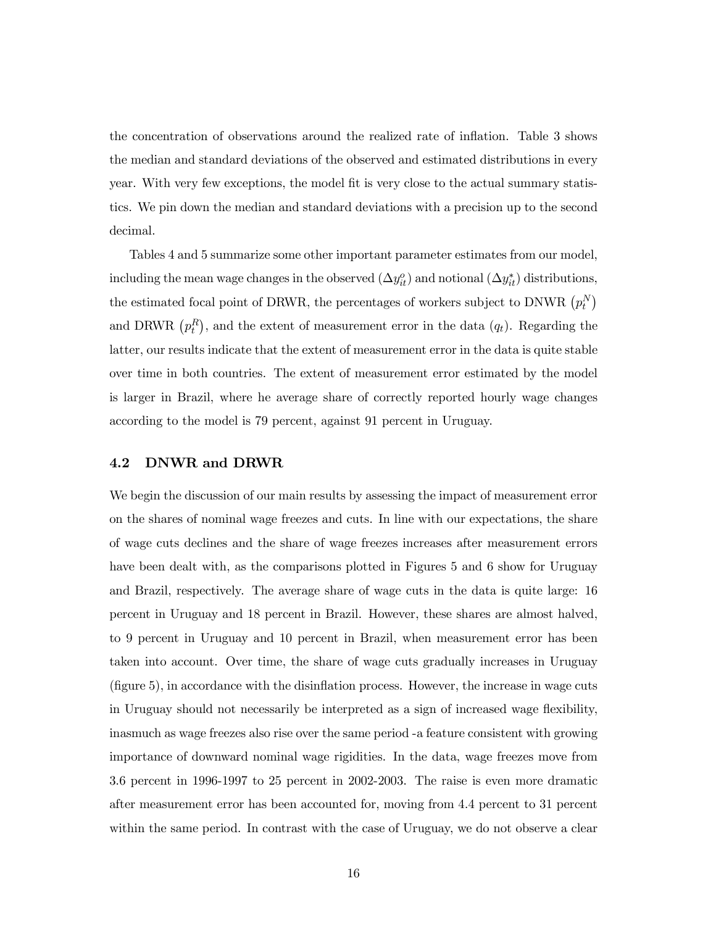the concentration of observations around the realized rate of inflation. Table 3 shows the median and standard deviations of the observed and estimated distributions in every year. With very few exceptions, the model fit is very close to the actual summary statistics. We pin down the median and standard deviations with a precision up to the second decimal.

Tables 4 and 5 summarize some other important parameter estimates from our model, including the mean wage changes in the observed  $(\Delta y_{it}^o)$  and notional  $(\Delta y_{it}^*)$  distributions, the estimated focal point of DRWR, the percentages of workers subject to DNWR  $(p_t^N)$ and DRWR  $(p_t^R)$ , and the extent of measurement error in the data  $(q_t)$ . Regarding the latter, our results indicate that the extent of measurement error in the data is quite stable over time in both countries. The extent of measurement error estimated by the model is larger in Brazil, where he average share of correctly reported hourly wage changes according to the model is 79 percent, against 91 percent in Uruguay.

#### 4.2 DNWR and DRWR

We begin the discussion of our main results by assessing the impact of measurement error on the shares of nominal wage freezes and cuts. In line with our expectations, the share of wage cuts declines and the share of wage freezes increases after measurement errors have been dealt with, as the comparisons plotted in Figures 5 and 6 show for Uruguay and Brazil, respectively. The average share of wage cuts in the data is quite large: 16 percent in Uruguay and 18 percent in Brazil. However, these shares are almost halved, to 9 percent in Uruguay and 10 percent in Brazil, when measurement error has been taken into account. Over time, the share of wage cuts gradually increases in Uruguay (figure 5), in accordance with the disinflation process. However, the increase in wage cuts in Uruguay should not necessarily be interpreted as a sign of increased wage flexibility, inasmuch as wage freezes also rise over the same period -a feature consistent with growing importance of downward nominal wage rigidities. In the data, wage freezes move from 3.6 percent in 1996-1997 to 25 percent in 2002-2003. The raise is even more dramatic after measurement error has been accounted for, moving from 4.4 percent to 31 percent within the same period. In contrast with the case of Uruguay, we do not observe a clear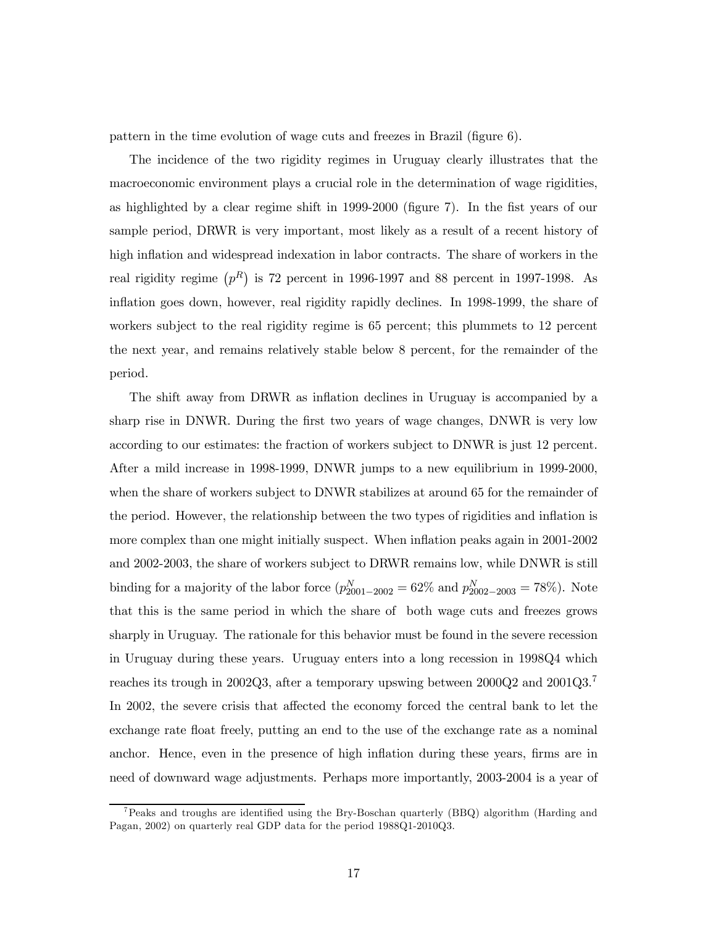pattern in the time evolution of wage cuts and freezes in Brazil (figure 6).

The incidence of the two rigidity regimes in Uruguay clearly illustrates that the macroeconomic environment plays a crucial role in the determination of wage rigidities, as highlighted by a clear regime shift in 1999-2000 (figure 7). In the fist years of our sample period, DRWR is very important, most likely as a result of a recent history of high inflation and widespread indexation in labor contracts. The share of workers in the real rigidity regime  $(p^R)$  is 72 percent in 1996-1997 and 88 percent in 1997-1998. As inflation goes down, however, real rigidity rapidly declines. In 1998-1999, the share of workers subject to the real rigidity regime is 65 percent; this plummets to 12 percent the next year, and remains relatively stable below 8 percent, for the remainder of the period.

The shift away from DRWR as inflation declines in Uruguay is accompanied by a sharp rise in DNWR. During the first two years of wage changes, DNWR is very low according to our estimates: the fraction of workers subject to DNWR is just 12 percent. After a mild increase in 1998-1999, DNWR jumps to a new equilibrium in 1999-2000, when the share of workers subject to DNWR stabilizes at around 65 for the remainder of the period. However, the relationship between the two types of rigidities and inflation is more complex than one might initially suspect. When inflation peaks again in 2001-2002 and 2002-2003, the share of workers subject to DRWR remains low, while DNWR is still binding for a majority of the labor force  $(p_{2001-2002}^N = 62\%$  and  $p_{2002-2003}^N = 78\%$ ). Note that this is the same period in which the share of both wage cuts and freezes grows sharply in Uruguay. The rationale for this behavior must be found in the severe recession in Uruguay during these years. Uruguay enters into a long recession in 1998Q4 which reaches its trough in 2002Q3, after a temporary upswing between 2000Q2 and 2001Q3.<sup>7</sup> In 2002, the severe crisis that affected the economy forced the central bank to let the exchange rate float freely, putting an end to the use of the exchange rate as a nominal anchor. Hence, even in the presence of high inflation during these years, firms are in need of downward wage adjustments. Perhaps more importantly, 2003-2004 is a year of

 $^{7}$ Peaks and troughs are identified using the Bry-Boschan quarterly (BBQ) algorithm (Harding and Pagan, 2002) on quarterly real GDP data for the period 1988Q1-2010Q3.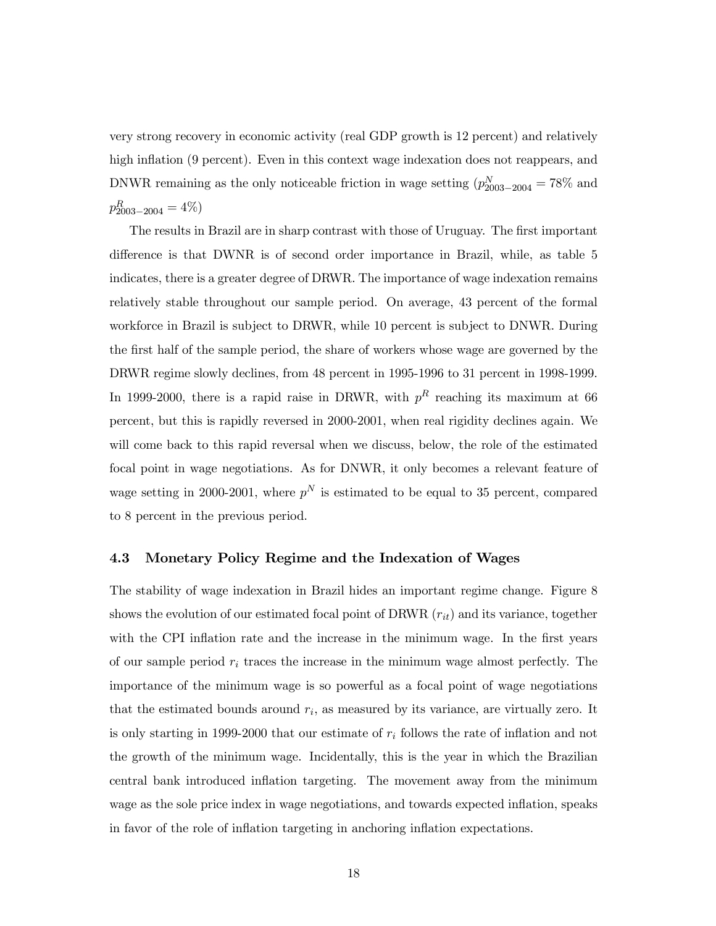very strong recovery in economic activity (real GDP growth is 12 percent) and relatively high inflation (9 percent). Even in this context wage indexation does not reappears, and DNWR remaining as the only noticeable friction in wage setting  $(p_{2003-2004}^N = 78\%$  and  $p_{2003-2004}^R = 4\%)$ 

The results in Brazil are in sharp contrast with those of Uruguay. The first important difference is that DWNR is of second order importance in Brazil, while, as table 5 indicates, there is a greater degree of DRWR. The importance of wage indexation remains relatively stable throughout our sample period. On average, 43 percent of the formal workforce in Brazil is subject to DRWR, while 10 percent is subject to DNWR. During the first half of the sample period, the share of workers whose wage are governed by the DRWR regime slowly declines, from 48 percent in 1995-1996 to 31 percent in 1998-1999. In 1999-2000, there is a rapid raise in DRWR, with  $p<sup>R</sup>$  reaching its maximum at 66 percent, but this is rapidly reversed in 2000-2001, when real rigidity declines again. We will come back to this rapid reversal when we discuss, below, the role of the estimated focal point in wage negotiations. As for DNWR, it only becomes a relevant feature of wage setting in 2000-2001, where  $p^N$  is estimated to be equal to 35 percent, compared to 8 percent in the previous period.

#### 4.3 Monetary Policy Regime and the Indexation of Wages

The stability of wage indexation in Brazil hides an important regime change. Figure 8 shows the evolution of our estimated focal point of DRWR  $(r_{it})$  and its variance, together with the CPI inflation rate and the increase in the minimum wage. In the first years of our sample period  $r_i$  traces the increase in the minimum wage almost perfectly. The importance of the minimum wage is so powerful as a focal point of wage negotiations that the estimated bounds around  $r_i$ , as measured by its variance, are virtually zero. It is only starting in 1999-2000 that our estimate of  $r_i$  follows the rate of inflation and not the growth of the minimum wage. Incidentally, this is the year in which the Brazilian central bank introduced inflation targeting. The movement away from the minimum wage as the sole price index in wage negotiations, and towards expected inflation, speaks in favor of the role of inflation targeting in anchoring inflation expectations.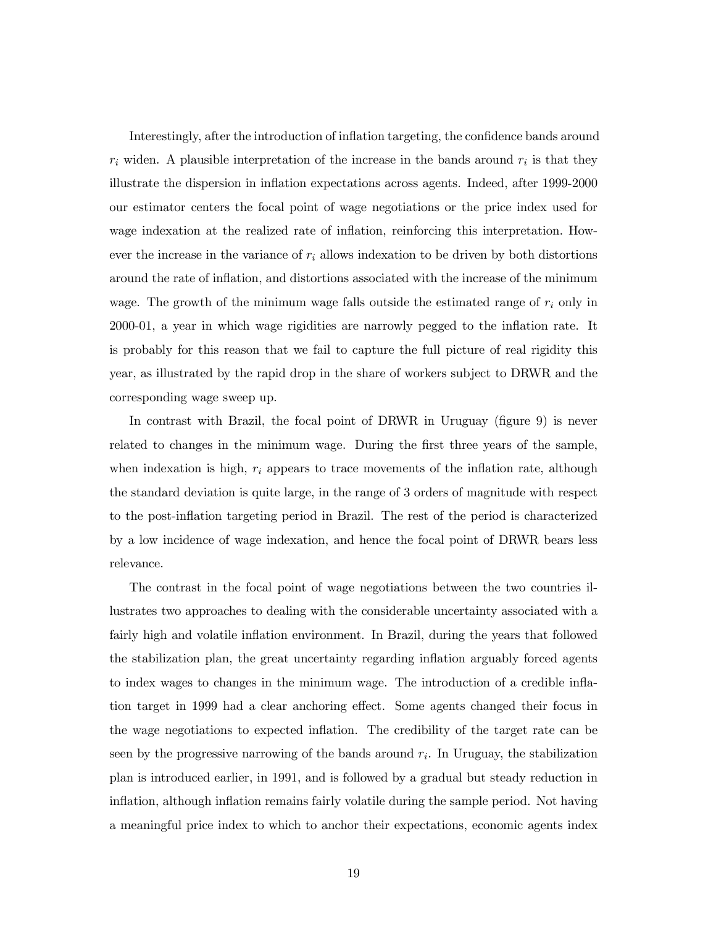Interestingly, after the introduction of inflation targeting, the confidence bands around  $r_i$  widen. A plausible interpretation of the increase in the bands around  $r_i$  is that they illustrate the dispersion in inflation expectations across agents. Indeed, after 1999-2000 our estimator centers the focal point of wage negotiations or the price index used for wage indexation at the realized rate of inflation, reinforcing this interpretation. However the increase in the variance of  $r_i$  allows indexation to be driven by both distortions around the rate of inflation, and distortions associated with the increase of the minimum wage. The growth of the minimum wage falls outside the estimated range of  $r_i$  only in 2000-01, a year in which wage rigidities are narrowly pegged to the inflation rate. It is probably for this reason that we fail to capture the full picture of real rigidity this year, as illustrated by the rapid drop in the share of workers subject to DRWR and the corresponding wage sweep up.

In contrast with Brazil, the focal point of DRWR in Uruguay (figure 9) is never related to changes in the minimum wage. During the first three years of the sample, when indexation is high,  $r_i$  appears to trace movements of the inflation rate, although the standard deviation is quite large, in the range of 3 orders of magnitude with respect to the post-inflation targeting period in Brazil. The rest of the period is characterized by a low incidence of wage indexation, and hence the focal point of DRWR bears less relevance.

The contrast in the focal point of wage negotiations between the two countries illustrates two approaches to dealing with the considerable uncertainty associated with a fairly high and volatile inflation environment. In Brazil, during the years that followed the stabilization plan, the great uncertainty regarding inflation arguably forced agents to index wages to changes in the minimum wage. The introduction of a credible inflation target in 1999 had a clear anchoring effect. Some agents changed their focus in the wage negotiations to expected inflation. The credibility of the target rate can be seen by the progressive narrowing of the bands around  $r_i$ . In Uruguay, the stabilization plan is introduced earlier, in 1991, and is followed by a gradual but steady reduction in inflation, although inflation remains fairly volatile during the sample period. Not having a meaningful price index to which to anchor their expectations, economic agents index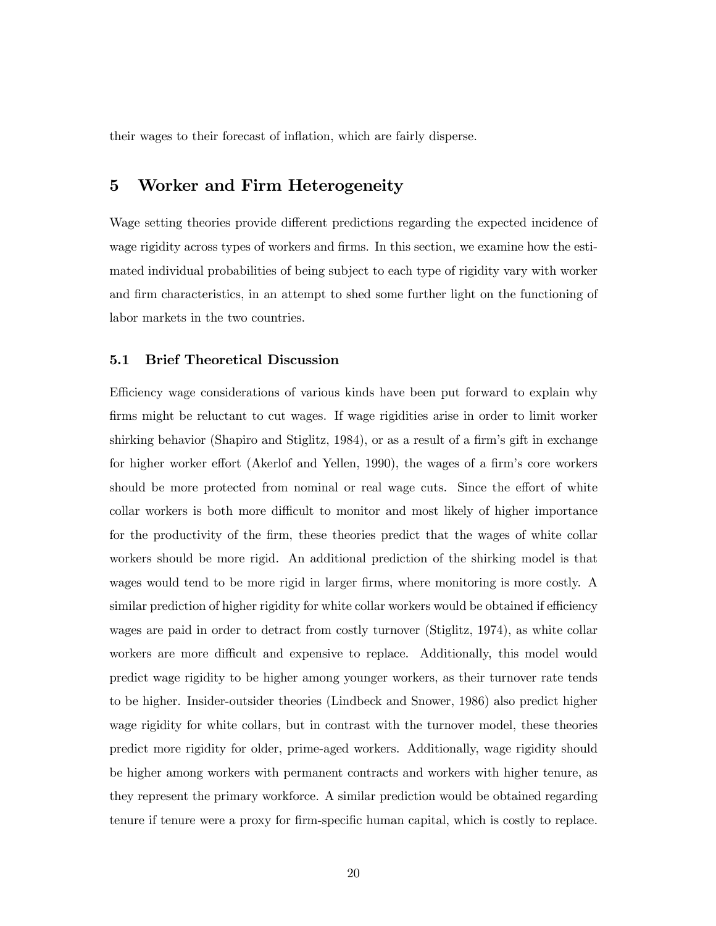their wages to their forecast of inflation, which are fairly disperse.

## 5 Worker and Firm Heterogeneity

Wage setting theories provide different predictions regarding the expected incidence of wage rigidity across types of workers and firms. In this section, we examine how the estimated individual probabilities of being subject to each type of rigidity vary with worker and firm characteristics, in an attempt to shed some further light on the functioning of labor markets in the two countries.

#### 5.1 Brief Theoretical Discussion

Efficiency wage considerations of various kinds have been put forward to explain why firms might be reluctant to cut wages. If wage rigidities arise in order to limit worker shirking behavior (Shapiro and Stiglitz, 1984), or as a result of a firm's gift in exchange for higher worker effort (Akerlof and Yellen, 1990), the wages of a firm's core workers should be more protected from nominal or real wage cuts. Since the effort of white collar workers is both more difficult to monitor and most likely of higher importance for the productivity of the firm, these theories predict that the wages of white collar workers should be more rigid. An additional prediction of the shirking model is that wages would tend to be more rigid in larger firms, where monitoring is more costly. A similar prediction of higher rigidity for white collar workers would be obtained if efficiency wages are paid in order to detract from costly turnover (Stiglitz, 1974), as white collar workers are more difficult and expensive to replace. Additionally, this model would predict wage rigidity to be higher among younger workers, as their turnover rate tends to be higher. Insider-outsider theories (Lindbeck and Snower, 1986) also predict higher wage rigidity for white collars, but in contrast with the turnover model, these theories predict more rigidity for older, prime-aged workers. Additionally, wage rigidity should be higher among workers with permanent contracts and workers with higher tenure, as they represent the primary workforce. A similar prediction would be obtained regarding tenure if tenure were a proxy for firm-specific human capital, which is costly to replace.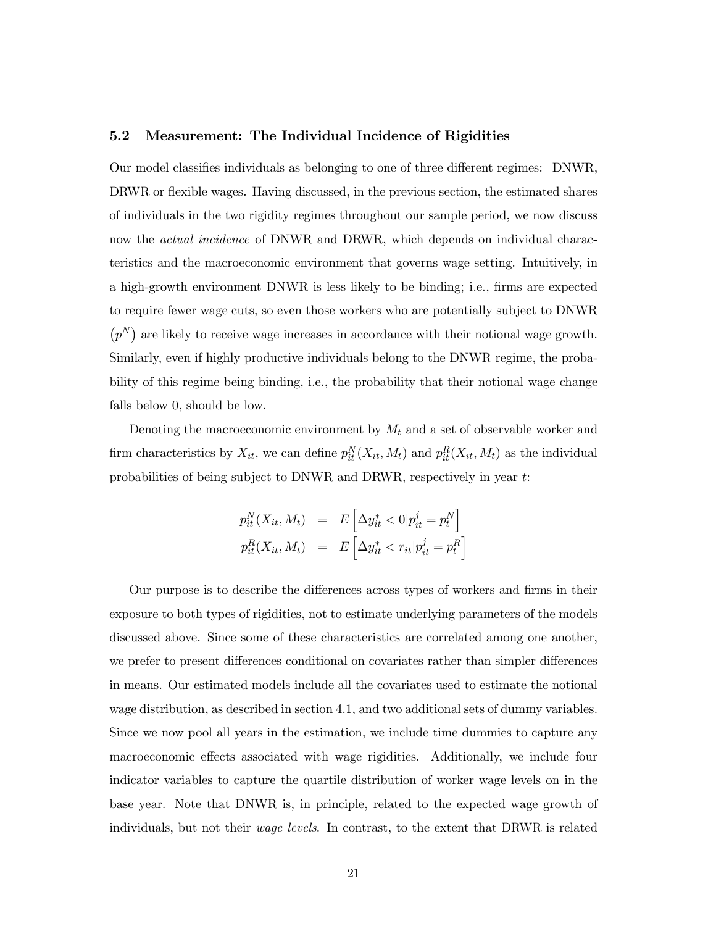#### 5.2 Measurement: The Individual Incidence of Rigidities

Our model classifies individuals as belonging to one of three different regimes: DNWR, DRWR or flexible wages. Having discussed, in the previous section, the estimated shares of individuals in the two rigidity regimes throughout our sample period, we now discuss now the *actual incidence* of DNWR and DRWR, which depends on individual characteristics and the macroeconomic environment that governs wage setting. Intuitively, in a high-growth environment DNWR is less likely to be binding; i.e., firms are expected to require fewer wage cuts, so even those workers who are potentially subject to DNWR  $(p^N)$  are likely to receive wage increases in accordance with their notional wage growth. Similarly, even if highly productive individuals belong to the DNWR regime, the probability of this regime being binding, i.e., the probability that their notional wage change falls below 0, should be low.

Denoting the macroeconomic environment by  $M_t$  and a set of observable worker and firm characteristics by  $X_{it}$ , we can define  $p_{it}^N(X_{it}, M_t)$  and  $p_{it}^R(X_{it}, M_t)$  as the individual probabilities of being subject to DNWR and DRWR, respectively in year t:

$$
p_{it}^N(X_{it}, M_t) = E\left[\Delta y_{it}^* < 0 | p_{it}^j = p_t^N\right]
$$
\n
$$
p_{it}^R(X_{it}, M_t) = E\left[\Delta y_{it}^* < r_{it} | p_{it}^j = p_t^R\right]
$$

Our purpose is to describe the differences across types of workers and firms in their exposure to both types of rigidities, not to estimate underlying parameters of the models discussed above. Since some of these characteristics are correlated among one another, we prefer to present differences conditional on covariates rather than simpler differences in means. Our estimated models include all the covariates used to estimate the notional wage distribution, as described in section 4.1, and two additional sets of dummy variables. Since we now pool all years in the estimation, we include time dummies to capture any macroeconomic effects associated with wage rigidities. Additionally, we include four indicator variables to capture the quartile distribution of worker wage levels on in the base year. Note that DNWR is, in principle, related to the expected wage growth of individuals, but not their wage levels. In contrast, to the extent that DRWR is related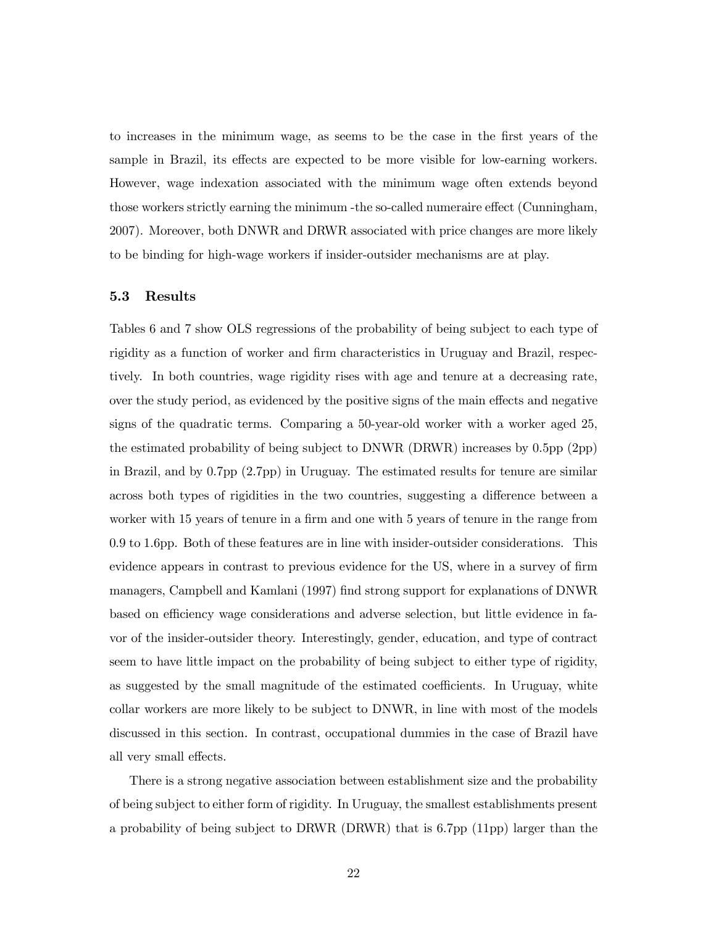to increases in the minimum wage, as seems to be the case in the first years of the sample in Brazil, its effects are expected to be more visible for low-earning workers. However, wage indexation associated with the minimum wage often extends beyond those workers strictly earning the minimum -the so-called numeraire effect (Cunningham, 2007). Moreover, both DNWR and DRWR associated with price changes are more likely to be binding for high-wage workers if insider-outsider mechanisms are at play.

#### 5.3 Results

Tables 6 and 7 show OLS regressions of the probability of being subject to each type of rigidity as a function of worker and firm characteristics in Uruguay and Brazil, respectively. In both countries, wage rigidity rises with age and tenure at a decreasing rate, over the study period, as evidenced by the positive signs of the main effects and negative signs of the quadratic terms. Comparing a 50-year-old worker with a worker aged 25, the estimated probability of being subject to DNWR (DRWR) increases by 0.5pp (2pp) in Brazil, and by 0.7pp (2.7pp) in Uruguay. The estimated results for tenure are similar across both types of rigidities in the two countries, suggesting a difference between a worker with 15 years of tenure in a firm and one with 5 years of tenure in the range from 0.9 to 1.6pp. Both of these features are in line with insider-outsider considerations. This evidence appears in contrast to previous evidence for the US, where in a survey of firm managers, Campbell and Kamlani (1997) find strong support for explanations of DNWR based on efficiency wage considerations and adverse selection, but little evidence in favor of the insider-outsider theory. Interestingly, gender, education, and type of contract seem to have little impact on the probability of being subject to either type of rigidity, as suggested by the small magnitude of the estimated coefficients. In Uruguay, white collar workers are more likely to be subject to DNWR, in line with most of the models discussed in this section. In contrast, occupational dummies in the case of Brazil have all very small effects.

There is a strong negative association between establishment size and the probability of being subject to either form of rigidity. In Uruguay, the smallest establishments present a probability of being subject to DRWR (DRWR) that is 6.7pp (11pp) larger than the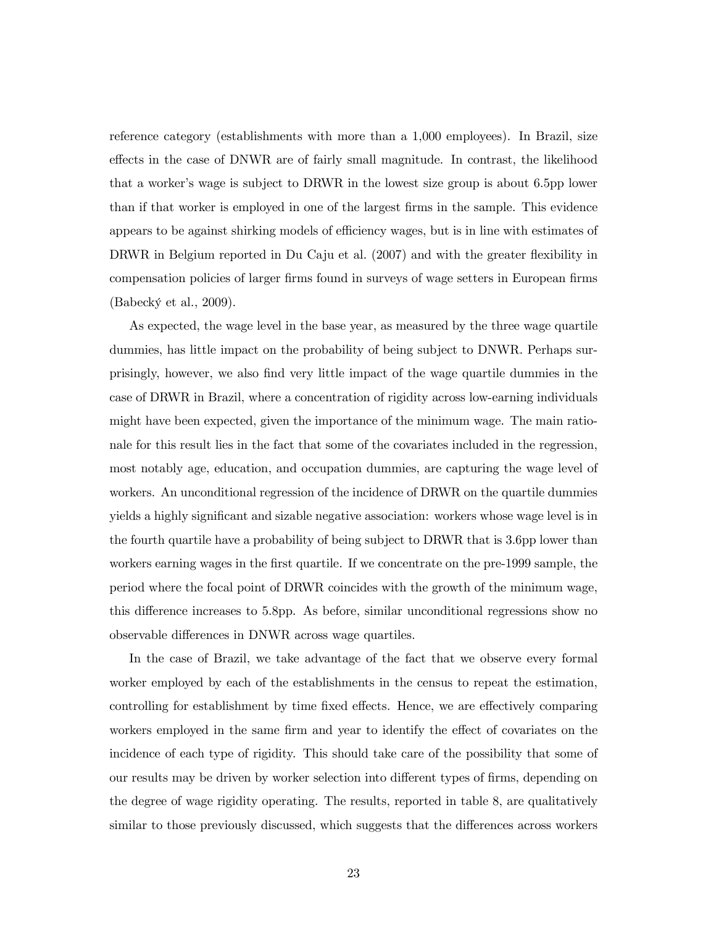reference category (establishments with more than a 1,000 employees). In Brazil, size effects in the case of DNWR are of fairly small magnitude. In contrast, the likelihood that a worker's wage is subject to DRWR in the lowest size group is about 6.5pp lower than if that worker is employed in one of the largest firms in the sample. This evidence appears to be against shirking models of efficiency wages, but is in line with estimates of DRWR in Belgium reported in Du Caju et al. (2007) and with the greater flexibility in compensation policies of larger firms found in surveys of wage setters in European firms (Babecký et al., 2009).

As expected, the wage level in the base year, as measured by the three wage quartile dummies, has little impact on the probability of being subject to DNWR. Perhaps surprisingly, however, we also find very little impact of the wage quartile dummies in the case of DRWR in Brazil, where a concentration of rigidity across low-earning individuals might have been expected, given the importance of the minimum wage. The main rationale for this result lies in the fact that some of the covariates included in the regression, most notably age, education, and occupation dummies, are capturing the wage level of workers. An unconditional regression of the incidence of DRWR on the quartile dummies yields a highly significant and sizable negative association: workers whose wage level is in the fourth quartile have a probability of being subject to DRWR that is 3.6pp lower than workers earning wages in the first quartile. If we concentrate on the pre-1999 sample, the period where the focal point of DRWR coincides with the growth of the minimum wage, this difference increases to 5.8pp. As before, similar unconditional regressions show no observable differences in DNWR across wage quartiles.

In the case of Brazil, we take advantage of the fact that we observe every formal worker employed by each of the establishments in the census to repeat the estimation, controlling for establishment by time fixed effects. Hence, we are effectively comparing workers employed in the same firm and year to identify the effect of covariates on the incidence of each type of rigidity. This should take care of the possibility that some of our results may be driven by worker selection into different types of firms, depending on the degree of wage rigidity operating. The results, reported in table 8, are qualitatively similar to those previously discussed, which suggests that the differences across workers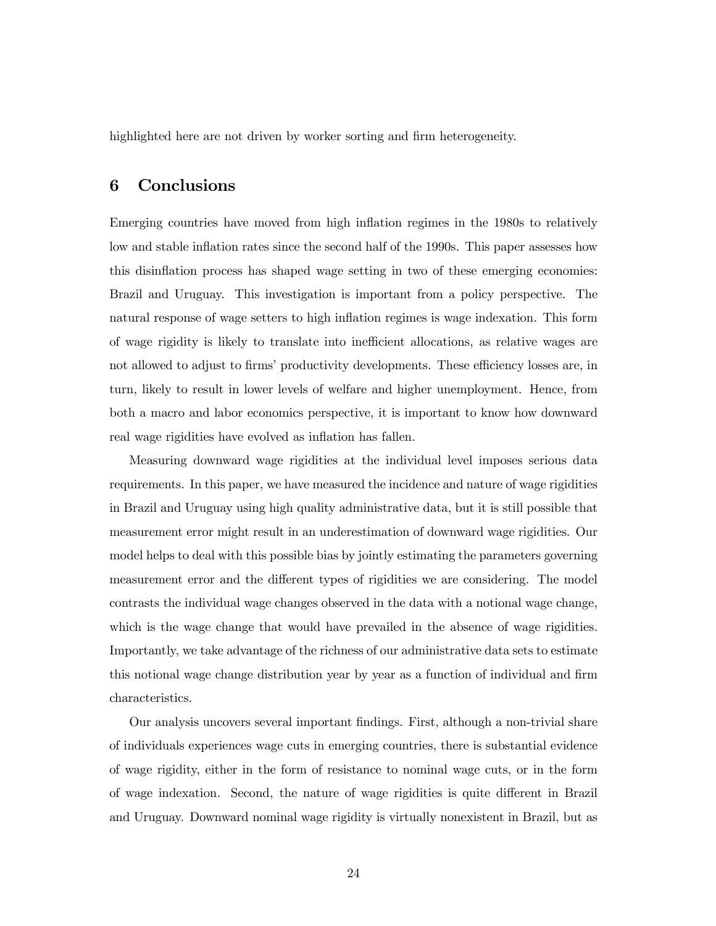highlighted here are not driven by worker sorting and firm heterogeneity.

## 6 Conclusions

Emerging countries have moved from high inflation regimes in the 1980s to relatively low and stable inflation rates since the second half of the 1990s. This paper assesses how this disinflation process has shaped wage setting in two of these emerging economies: Brazil and Uruguay. This investigation is important from a policy perspective. The natural response of wage setters to high inflation regimes is wage indexation. This form of wage rigidity is likely to translate into inefficient allocations, as relative wages are not allowed to adjust to firms' productivity developments. These efficiency losses are, in turn, likely to result in lower levels of welfare and higher unemployment. Hence, from both a macro and labor economics perspective, it is important to know how downward real wage rigidities have evolved as inflation has fallen.

Measuring downward wage rigidities at the individual level imposes serious data requirements. In this paper, we have measured the incidence and nature of wage rigidities in Brazil and Uruguay using high quality administrative data, but it is still possible that measurement error might result in an underestimation of downward wage rigidities. Our model helps to deal with this possible bias by jointly estimating the parameters governing measurement error and the different types of rigidities we are considering. The model contrasts the individual wage changes observed in the data with a notional wage change, which is the wage change that would have prevailed in the absence of wage rigidities. Importantly, we take advantage of the richness of our administrative data sets to estimate this notional wage change distribution year by year as a function of individual and firm characteristics.

Our analysis uncovers several important findings. First, although a non-trivial share of individuals experiences wage cuts in emerging countries, there is substantial evidence of wage rigidity, either in the form of resistance to nominal wage cuts, or in the form of wage indexation. Second, the nature of wage rigidities is quite different in Brazil and Uruguay. Downward nominal wage rigidity is virtually nonexistent in Brazil, but as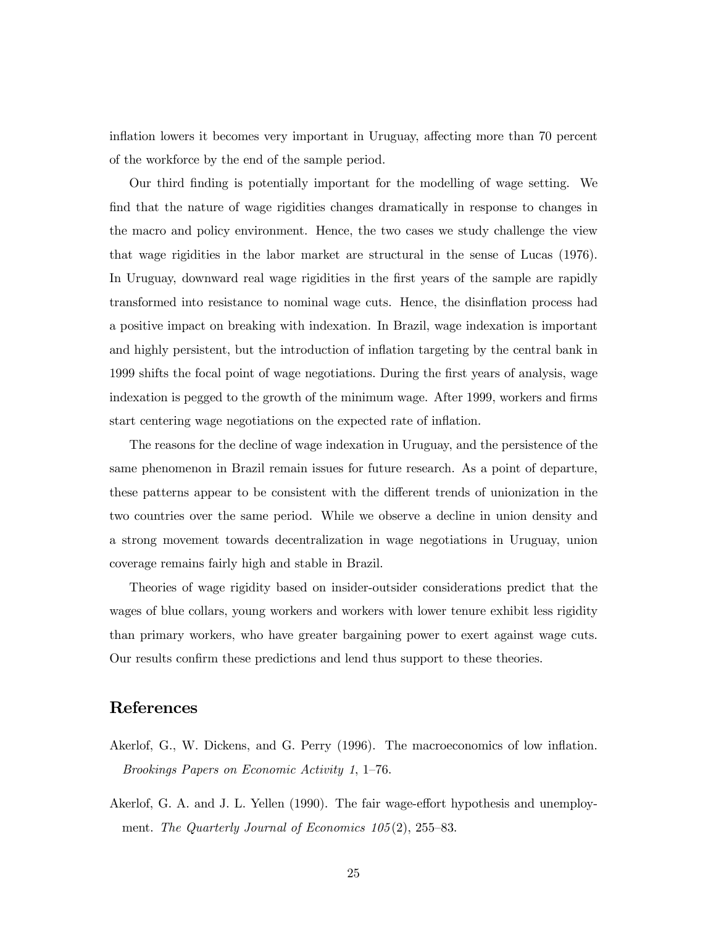inflation lowers it becomes very important in Uruguay, affecting more than 70 percent of the workforce by the end of the sample period.

Our third finding is potentially important for the modelling of wage setting. We find that the nature of wage rigidities changes dramatically in response to changes in the macro and policy environment. Hence, the two cases we study challenge the view that wage rigidities in the labor market are structural in the sense of Lucas (1976). In Uruguay, downward real wage rigidities in the first years of the sample are rapidly transformed into resistance to nominal wage cuts. Hence, the disinflation process had a positive impact on breaking with indexation. In Brazil, wage indexation is important and highly persistent, but the introduction of inflation targeting by the central bank in 1999 shifts the focal point of wage negotiations. During the first years of analysis, wage indexation is pegged to the growth of the minimum wage. After 1999, workers and firms start centering wage negotiations on the expected rate of inflation.

The reasons for the decline of wage indexation in Uruguay, and the persistence of the same phenomenon in Brazil remain issues for future research. As a point of departure, these patterns appear to be consistent with the different trends of unionization in the two countries over the same period. While we observe a decline in union density and a strong movement towards decentralization in wage negotiations in Uruguay, union coverage remains fairly high and stable in Brazil.

Theories of wage rigidity based on insider-outsider considerations predict that the wages of blue collars, young workers and workers with lower tenure exhibit less rigidity than primary workers, who have greater bargaining power to exert against wage cuts. Our results confirm these predictions and lend thus support to these theories.

## References

- Akerlof, G., W. Dickens, and G. Perry (1996). The macroeconomics of low inflation. Brookings Papers on Economic Activity 1, 1—76.
- Akerlof, G. A. and J. L. Yellen (1990). The fair wage-effort hypothesis and unemployment. The Quarterly Journal of Economics 105(2), 255–83.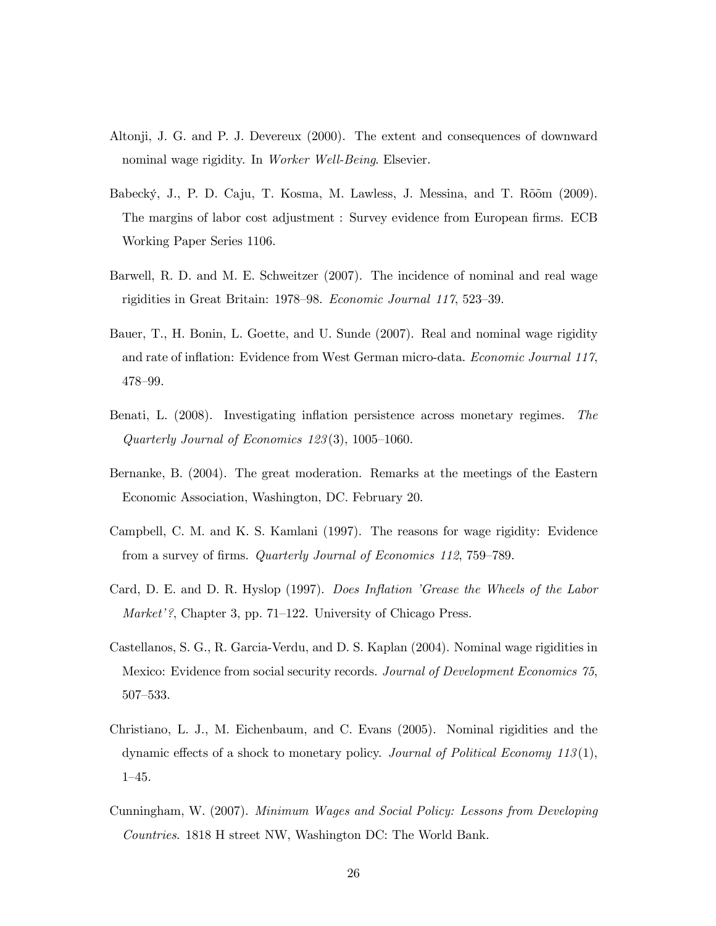- Altonji, J. G. and P. J. Devereux (2000). The extent and consequences of downward nominal wage rigidity. In Worker Well-Being. Elsevier.
- Babecký, J., P. D. Caju, T. Kosma, M. Lawless, J. Messina, and T. Rõõm (2009). The margins of labor cost adjustment : Survey evidence from European firms. ECB Working Paper Series 1106.
- Barwell, R. D. and M. E. Schweitzer (2007). The incidence of nominal and real wage rigidities in Great Britain: 1978—98. Economic Journal 117, 523—39.
- Bauer, T., H. Bonin, L. Goette, and U. Sunde (2007). Real and nominal wage rigidity and rate of inflation: Evidence from West German micro-data. Economic Journal 117, 478—99.
- Benati, L. (2008). Investigating inflation persistence across monetary regimes. The Quarterly Journal of Economics 123 (3), 1005—1060.
- Bernanke, B. (2004). The great moderation. Remarks at the meetings of the Eastern Economic Association, Washington, DC. February 20.
- Campbell, C. M. and K. S. Kamlani (1997). The reasons for wage rigidity: Evidence from a survey of firms. Quarterly Journal of Economics 112, 759—789.
- Card, D. E. and D. R. Hyslop (1997). Does Inflation 'Grease the Wheels of the Labor Market'?, Chapter 3, pp. 71–122. University of Chicago Press.
- Castellanos, S. G., R. Garcia-Verdu, and D. S. Kaplan (2004). Nominal wage rigidities in Mexico: Evidence from social security records. Journal of Development Economics 75, 507—533.
- Christiano, L. J., M. Eichenbaum, and C. Evans (2005). Nominal rigidities and the dynamic effects of a shock to monetary policy. Journal of Political Economy  $113(1)$ , 1—45.
- Cunningham, W. (2007). Minimum Wages and Social Policy: Lessons from Developing Countries. 1818 H street NW, Washington DC: The World Bank.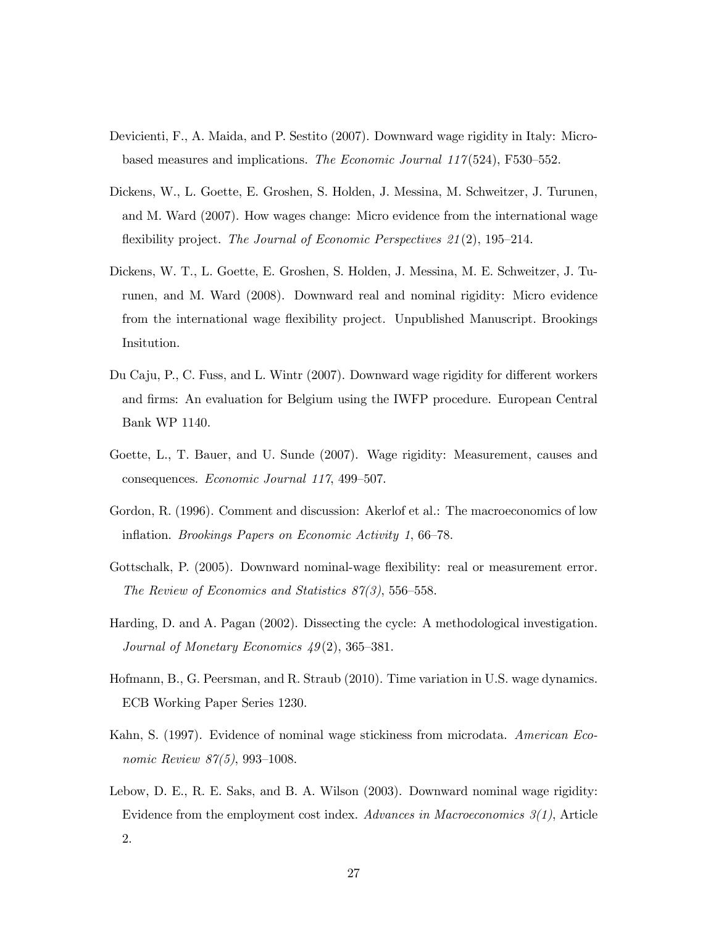- Devicienti, F., A. Maida, and P. Sestito (2007). Downward wage rigidity in Italy: Microbased measures and implications. The Economic Journal 117(524), F530-552.
- Dickens, W., L. Goette, E. Groshen, S. Holden, J. Messina, M. Schweitzer, J. Turunen, and M. Ward (2007). How wages change: Micro evidence from the international wage flexibility project. The Journal of Economic Perspectives 21(2), 195—214.
- Dickens, W. T., L. Goette, E. Groshen, S. Holden, J. Messina, M. E. Schweitzer, J. Turunen, and M. Ward (2008). Downward real and nominal rigidity: Micro evidence from the international wage flexibility project. Unpublished Manuscript. Brookings Insitution.
- Du Caju, P., C. Fuss, and L. Wintr (2007). Downward wage rigidity for different workers and firms: An evaluation for Belgium using the IWFP procedure. European Central Bank WP 1140.
- Goette, L., T. Bauer, and U. Sunde (2007). Wage rigidity: Measurement, causes and consequences. Economic Journal 117, 499—507.
- Gordon, R. (1996). Comment and discussion: Akerlof et al.: The macroeconomics of low inflation. Brookings Papers on Economic Activity 1, 66—78.
- Gottschalk, P. (2005). Downward nominal-wage flexibility: real or measurement error. The Review of Economics and Statistics 87(3), 556—558.
- Harding, D. and A. Pagan (2002). Dissecting the cycle: A methodological investigation. Journal of Monetary Economics  $49(2)$ , 365-381.
- Hofmann, B., G. Peersman, and R. Straub (2010). Time variation in U.S. wage dynamics. ECB Working Paper Series 1230.
- Kahn, S. (1997). Evidence of nominal wage stickiness from microdata. American Economic Review 87(5), 993—1008.
- Lebow, D. E., R. E. Saks, and B. A. Wilson (2003). Downward nominal wage rigidity: Evidence from the employment cost index. Advances in Macroeconomics 3(1), Article 2.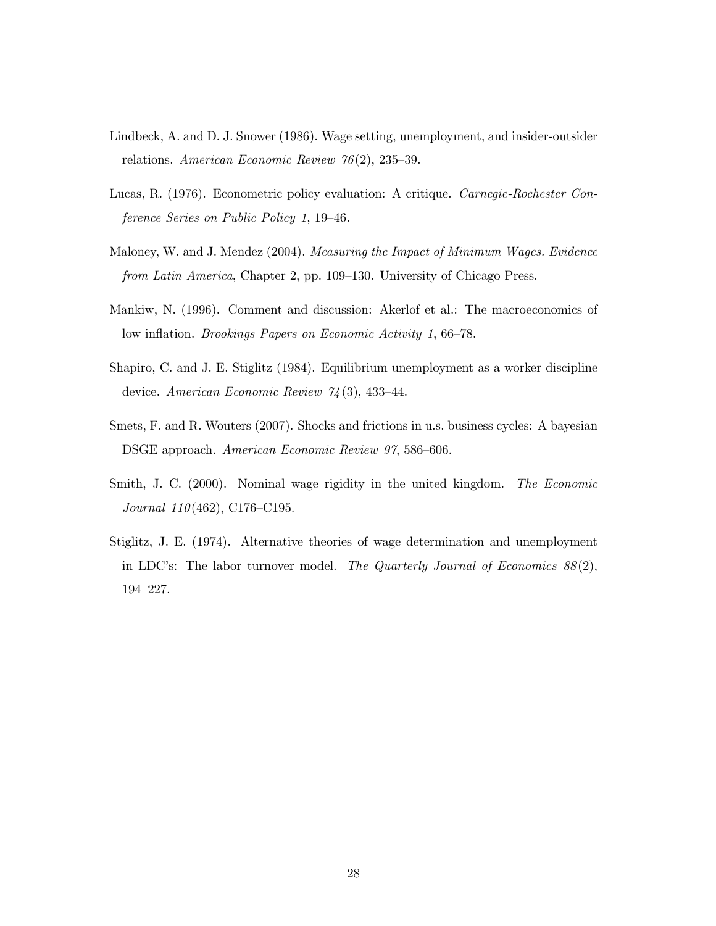- Lindbeck, A. and D. J. Snower (1986). Wage setting, unemployment, and insider-outsider relations. American Economic Review 76(2), 235—39.
- Lucas, R. (1976). Econometric policy evaluation: A critique. Carnegie-Rochester Conference Series on Public Policy 1, 19—46.
- Maloney, W. and J. Mendez (2004). Measuring the Impact of Minimum Wages. Evidence from Latin America, Chapter 2, pp. 109—130. University of Chicago Press.
- Mankiw, N. (1996). Comment and discussion: Akerlof et al.: The macroeconomics of low inflation. Brookings Papers on Economic Activity 1, 66—78.
- Shapiro, C. and J. E. Stiglitz (1984). Equilibrium unemployment as a worker discipline device. American Economic Review  $74(3)$ , 433-44.
- Smets, F. and R. Wouters (2007). Shocks and frictions in u.s. business cycles: A bayesian DSGE approach. American Economic Review 97, 586—606.
- Smith, J. C. (2000). Nominal wage rigidity in the united kingdom. The Economic Journal 110(462), C176—C195.
- Stiglitz, J. E. (1974). Alternative theories of wage determination and unemployment in LDC's: The labor turnover model. The Quarterly Journal of Economics  $88(2)$ , 194—227.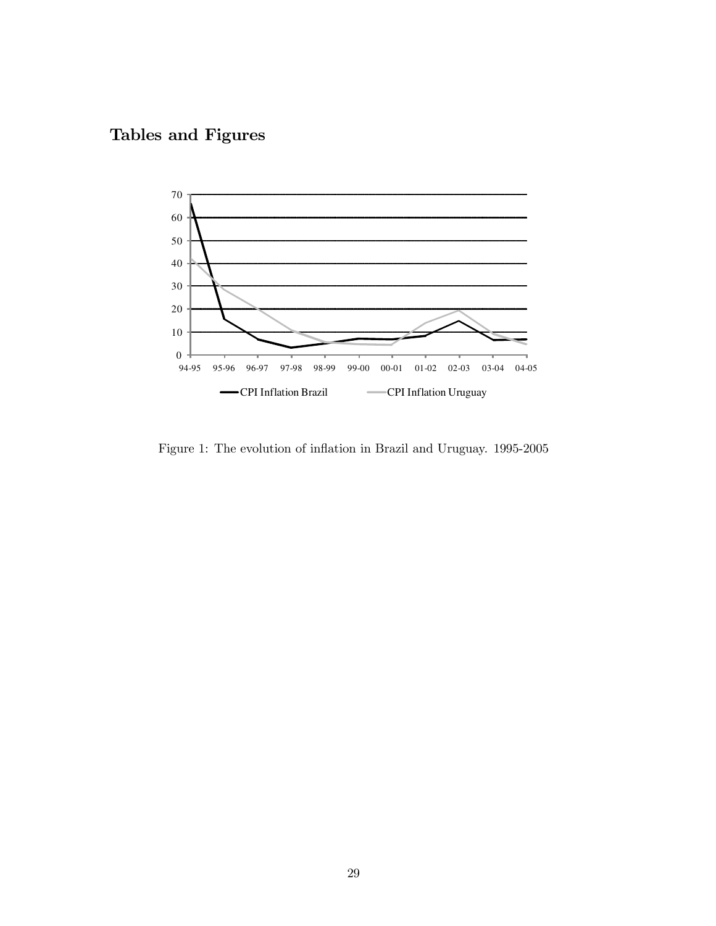Tables and Figures



Figure 1: The evolution of inflation in Brazil and Uruguay. 1995-2005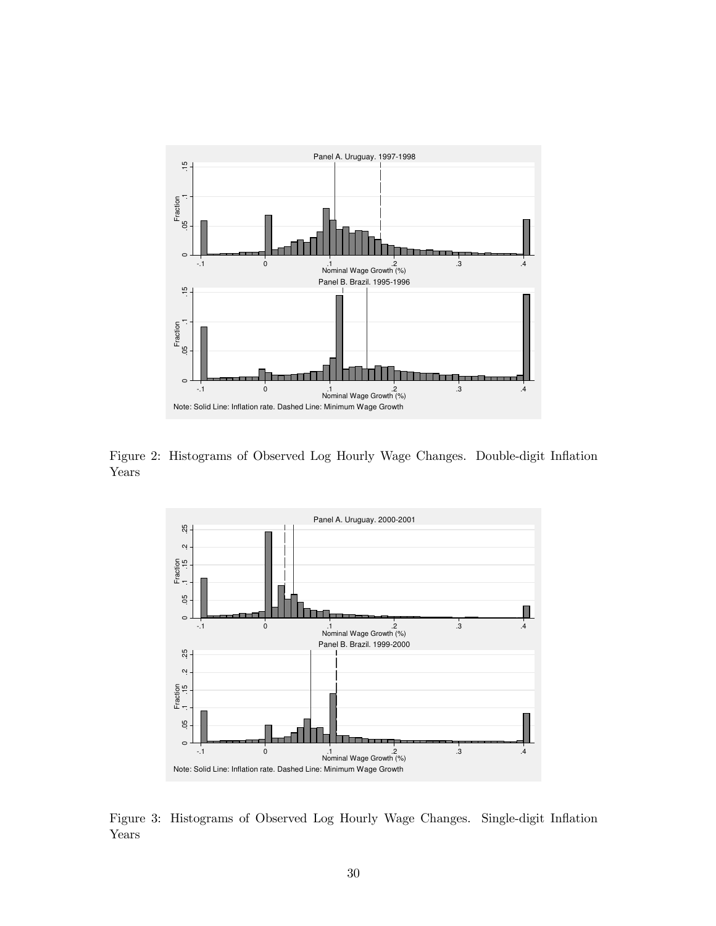

Figure 2: Histograms of Observed Log Hourly Wage Changes. Double-digit Inflation Years



Figure 3: Histograms of Observed Log Hourly Wage Changes. Single-digit Inflation Years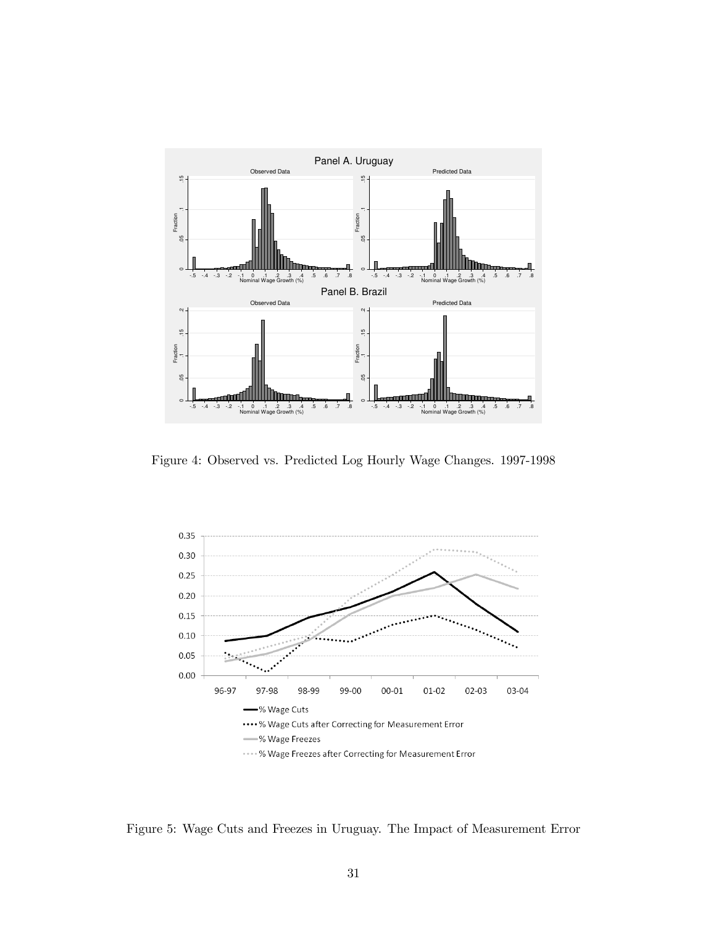

Figure 4: Observed vs. Predicted Log Hourly Wage Changes. 1997-1998



Figure 5: Wage Cuts and Freezes in Uruguay. The Impact of Measurement Error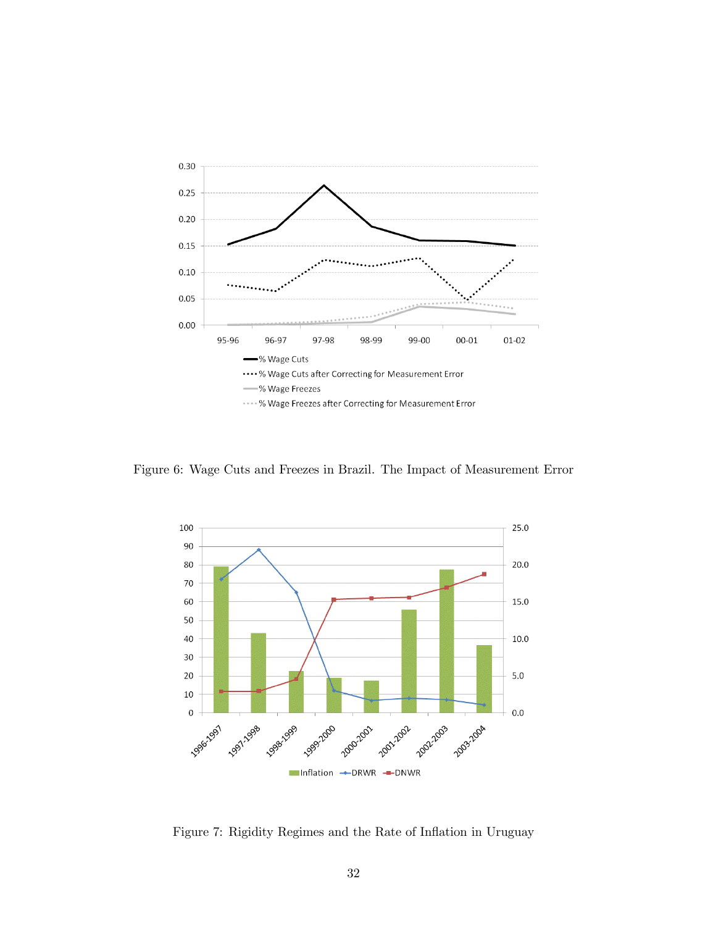

Figure 6: Wage Cuts and Freezes in Brazil. The Impact of Measurement Error



Figure 7: Rigidity Regimes and the Rate of Inflation in Uruguay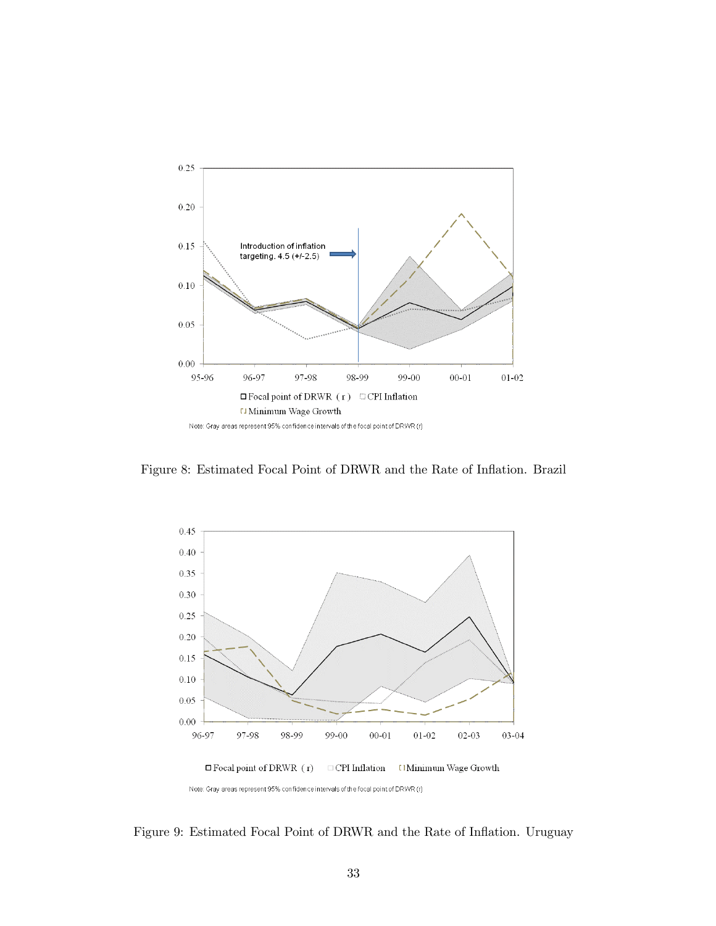

Figure 8: Estimated Focal Point of DRWR and the Rate of Inflation. Brazil



Figure 9: Estimated Focal Point of DRWR and the Rate of Inflation. Uruguay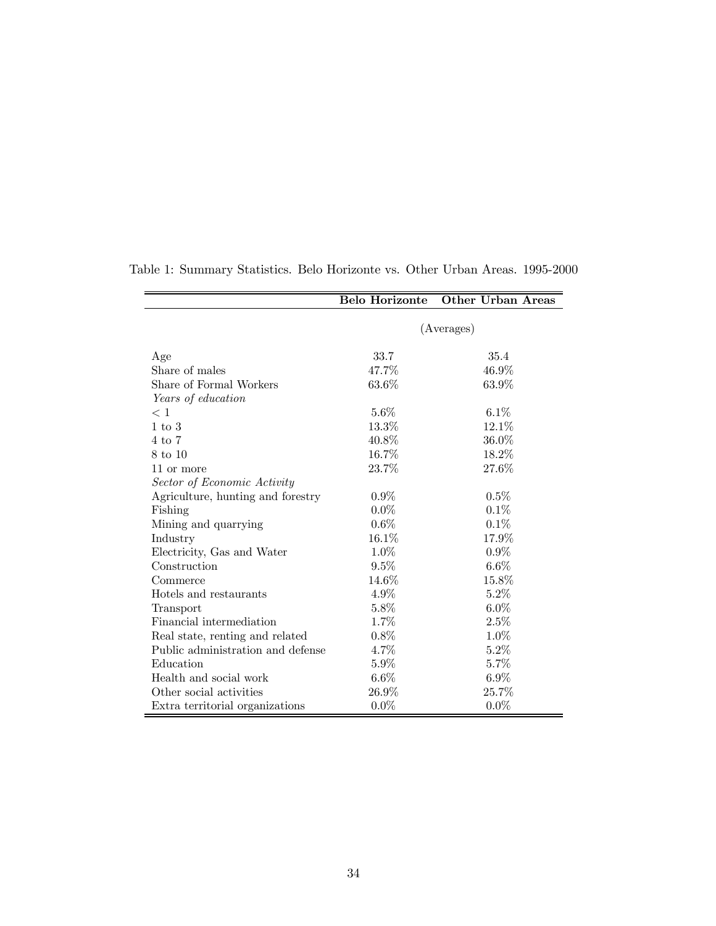|                                   | <b>Belo Horizonte</b> | Other Urban Areas |  |  |  |
|-----------------------------------|-----------------------|-------------------|--|--|--|
|                                   |                       |                   |  |  |  |
|                                   | (Averages)            |                   |  |  |  |
| Age                               | 33.7                  | 35.4              |  |  |  |
| Share of males                    | 47.7%                 | $46.9\%$          |  |  |  |
| Share of Formal Workers           | 63.6%                 | 63.9%             |  |  |  |
| Years of education                |                       |                   |  |  |  |
| < 1                               | $5.6\%$               | $6.1\%$           |  |  |  |
| $1 \text{ to } 3$                 | 13.3%                 | 12.1\%            |  |  |  |
| $4 \text{ to } 7$                 | 40.8%                 | 36.0%             |  |  |  |
| 8 to 10                           | 16.7%                 | 18.2%             |  |  |  |
| 11 or more                        | 23.7%                 | 27.6%             |  |  |  |
| Sector of Economic Activity       |                       |                   |  |  |  |
| Agriculture, hunting and forestry | $0.9\%$               | $0.5\%$           |  |  |  |
| Fishing                           | $0.0\%$               | $0.1\%$           |  |  |  |
| Mining and quarrying              | 0.6%                  | $0.1\%$           |  |  |  |
| Industry                          | 16.1\%                | 17.9%             |  |  |  |
| Electricity, Gas and Water        | 1.0%                  | $0.9\%$           |  |  |  |
| Construction                      | $9.5\%$               | $6.6\%$           |  |  |  |
| Commerce                          | 14.6%                 | 15.8%             |  |  |  |
| Hotels and restaurants            | $4.9\%$               | $5.2\%$           |  |  |  |
| Transport                         | $5.8\%$               | $6.0\%$           |  |  |  |
| Financial intermediation          | 1.7%                  | 2.5%              |  |  |  |
| Real state, renting and related   | $0.8\%$               | $1.0\%$           |  |  |  |
| Public administration and defense | 4.7%                  | $5.2\%$           |  |  |  |
| Education                         | $5.9\%$               | $5.7\%$           |  |  |  |
| Health and social work            | $6.6\%$               | $6.9\%$           |  |  |  |
| Other social activities           | $26.9\%$              | 25.7%             |  |  |  |
| Extra territorial organizations   | $0.0\%$               | $0.0\%$           |  |  |  |

Table 1: Summary Statistics. Belo Horizonte vs. Other Urban Areas. 1995-2000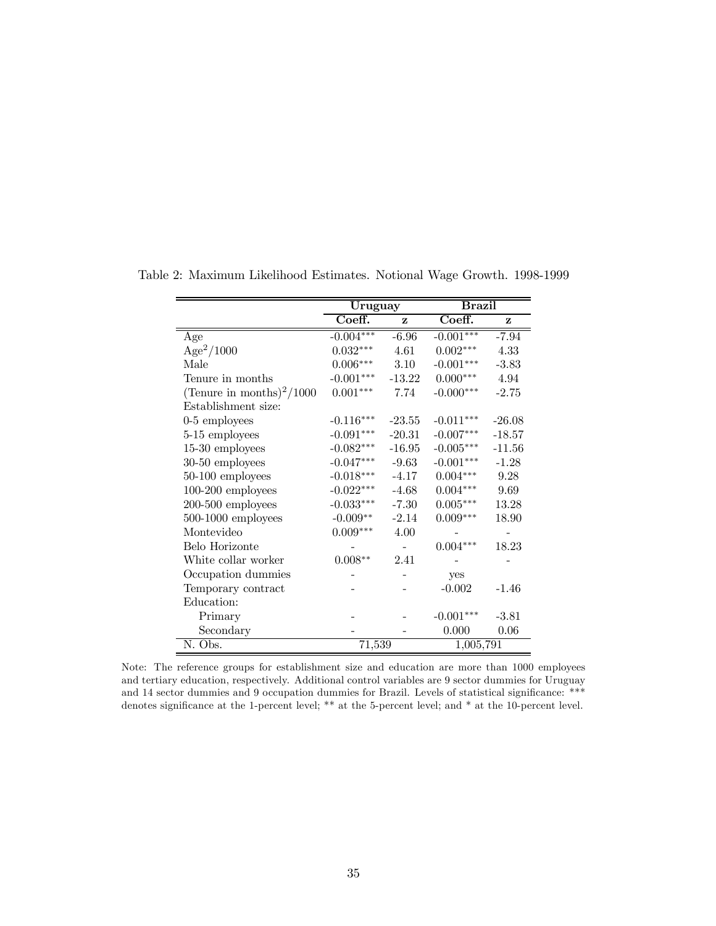|                                       | Uruguay     |          | <b>Brazil</b> |          |
|---------------------------------------|-------------|----------|---------------|----------|
|                                       | Coeff.      | z        | Coeff.        | z        |
| Age                                   | $-0.004***$ | $-6.96$  | $-0.001***$   | $-7.94$  |
| $\rm{Age}^2/1000$                     | $0.032***$  | 4.61     | $0.002***$    | 4.33     |
| Male                                  | $0.006***$  | 3.10     | $-0.001***$   | $-3.83$  |
| Tenure in months                      | $-0.001***$ | $-13.22$ | $0.000***$    | 4.94     |
| (Tenure in months) <sup>2</sup> /1000 | $0.001***$  | 7.74     | $-0.000***$   | $-2.75$  |
| Establishment size:                   |             |          |               |          |
| $0-5$ employees                       | $-0.116***$ | $-23.55$ | $-0.011***$   | $-26.08$ |
| 5-15 employees                        | $-0.091***$ | $-20.31$ | $-0.007***$   | $-18.57$ |
| 15-30 employees                       | $-0.082***$ | $-16.95$ | $-0.005***$   | $-11.56$ |
| 30-50 employees                       | $-0.047***$ | $-9.63$  | $-0.001***$   | $-1.28$  |
| $50-100$ employees                    | $-0.018***$ | $-4.17$  | $0.004***$    | 9.28     |
| $100-200$ employees                   | $-0.022***$ | $-4.68$  | $0.004***$    | 9.69     |
| $200-500$ employees                   | $-0.033***$ | $-7.30$  | $0.005***$    | 13.28    |
| $500-1000$ employees                  | $-0.009**$  | $-2.14$  | $0.009***$    | 18.90    |
| Montevideo                            | $0.009***$  | 4.00     |               |          |
| Belo Horizonte                        |             |          | $0.004***$    | 18.23    |
| White collar worker                   | $0.008**$   | 2.41     |               |          |
| Occupation dummies                    |             |          | yes           |          |
| Temporary contract                    |             |          | $-0.002$      | $-1.46$  |
| Education:                            |             |          |               |          |
| Primary                               |             |          | $-0.001***$   | $-3.81$  |
| Secondary                             |             |          | 0.000         | 0.06     |
| N. Obs.                               | 71,539      |          | 1,005,791     |          |

Table 2: Maximum Likelihood Estimates. Notional Wage Growth. 1998-1999

Note: The reference groups for establishment size and education are more than 1000 employees and tertiary education, respectively. Additional control variables are 9 sector dummies for Uruguay and 14 sector dummies and 9 occupation dummies for Brazil. Levels of statistical significance: \*\*\* denotes significance at the 1-percent level; \*\* at the 5-percent level; and \* at the 10-percent level.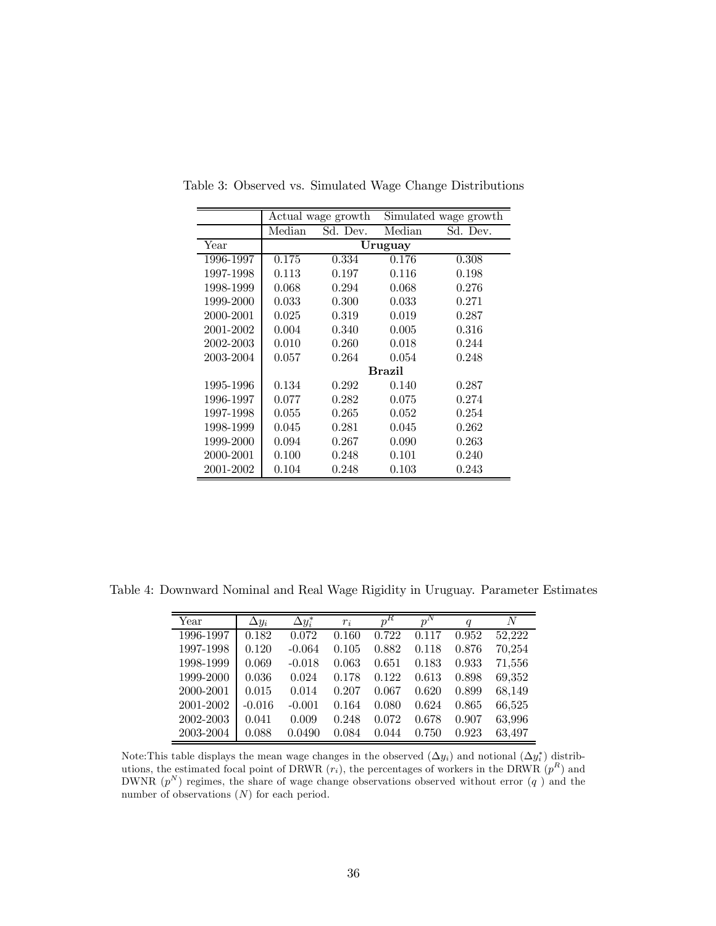|           | Actual wage growth |               | Simulated wage growth |          |  |  |  |
|-----------|--------------------|---------------|-----------------------|----------|--|--|--|
|           | Median             | Sd. Dev.      | Median                | Sd. Dev. |  |  |  |
| Year      |                    | Uruguay       |                       |          |  |  |  |
| 1996-1997 | 0.175              | 0.334         | 0.176                 | 0.308    |  |  |  |
| 1997-1998 | 0.113              | 0.197         | 0.116                 | 0.198    |  |  |  |
| 1998-1999 | 0.068              | 0.294         | 0.068                 | 0.276    |  |  |  |
| 1999-2000 | 0.033              | 0.300         | 0.033                 | 0.271    |  |  |  |
| 2000-2001 | 0.025              | 0.319         | 0.019                 | 0.287    |  |  |  |
| 2001-2002 | 0.004              | 0.340         | 0.005                 | 0.316    |  |  |  |
| 2002-2003 | 0.010              | 0.260         | 0.018                 | 0.244    |  |  |  |
| 2003-2004 | 0.057              | 0.264         | 0.054                 | 0.248    |  |  |  |
|           |                    | <b>Brazil</b> |                       |          |  |  |  |
| 1995-1996 | 0.134              | 0.292         | 0.140                 | 0.287    |  |  |  |
| 1996-1997 | 0.077              | 0.282         | 0.075                 | 0.274    |  |  |  |
| 1997-1998 | 0.055              | 0.265         | 0.052                 | 0.254    |  |  |  |
| 1998-1999 | 0.045              | 0.281         | 0.045                 | 0.262    |  |  |  |
| 1999-2000 | 0.094              | 0.267         | 0.090                 | 0.263    |  |  |  |
| 2000-2001 | 0.100              | 0.248         | 0.101                 | 0.240    |  |  |  |
| 2001-2002 | 0.104              | 0.248         | 0.103                 | 0.243    |  |  |  |

Table 3: Observed vs. Simulated Wage Change Distributions

Table 4: Downward Nominal and Real Wage Rigidity in Uruguay. Parameter Estimates

| Year      | $\Delta y_i$ | $\overline{\Delta y_i^*}$ | $r_i$ | $p^R$ | $p^N$ | q     | $\overline{N}$ |
|-----------|--------------|---------------------------|-------|-------|-------|-------|----------------|
| 1996-1997 | 0.182        | 0.072                     | 0.160 | 0.722 | 0.117 | 0.952 | 52,222         |
| 1997-1998 | 0.120        | $-0.064$                  | 0.105 | 0.882 | 0.118 | 0.876 | 70,254         |
| 1998-1999 | 0.069        | $-0.018$                  | 0.063 | 0.651 | 0.183 | 0.933 | 71,556         |
| 1999-2000 | 0.036        | 0.024                     | 0.178 | 0.122 | 0.613 | 0.898 | 69,352         |
| 2000-2001 | 0.015        | 0.014                     | 0.207 | 0.067 | 0.620 | 0.899 | 68,149         |
| 2001-2002 | $-0.016$     | $-0.001$                  | 0.164 | 0.080 | 0.624 | 0.865 | 66,525         |
| 2002-2003 | 0.041        | 0.009                     | 0.248 | 0.072 | 0.678 | 0.907 | 63,996         |
| 2003-2004 | 0.088        | 0.0490                    | 0.084 | 0.044 | 0.750 | 0.923 | 63,497         |

Note:This table displays the mean wage changes in the observed  $(\Delta y_i)$  and notional  $(\Delta y_i^*)$  distributions, the estimated focal point of DRWR  $(r_i)$ , the percentages of workers in the DRWR  $(p^R)$  and DWNR  $(p^N)$  regimes, the share of wage change observations observed without error  $(q)$  and the number of observations (N) for each period.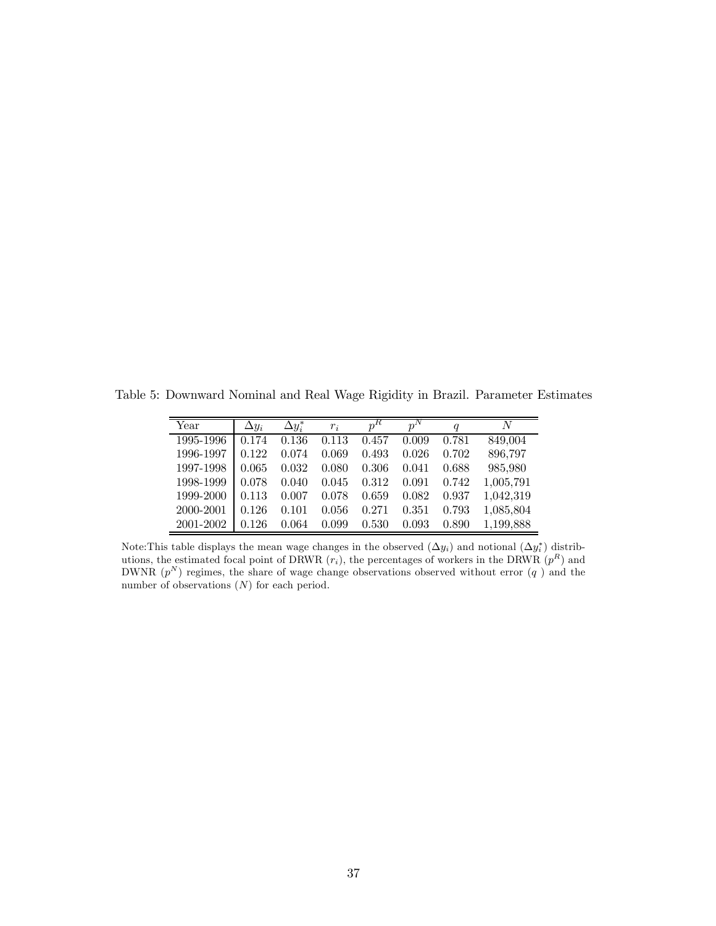Table 5: Downward Nominal and Real Wage Rigidity in Brazil. Parameter Estimates

| Year      | $\Delta y_i$ | $\Delta y_i^*$ | $r_i$ |       | $p^N$ | $\boldsymbol{q}$ | N         |
|-----------|--------------|----------------|-------|-------|-------|------------------|-----------|
| 1995-1996 | 0.174        | 0.136          | 0.113 | 0.457 | 0.009 | 0.781            | 849,004   |
| 1996-1997 | 0.122        | 0.074          | 0.069 | 0.493 | 0.026 | 0.702            | 896,797   |
| 1997-1998 | 0.065        | 0.032          | 0.080 | 0.306 | 0.041 | 0.688            | 985,980   |
| 1998-1999 | 0.078        | 0.040          | 0.045 | 0.312 | 0.091 | 0.742            | 1,005,791 |
| 1999-2000 | 0.113        | 0.007          | 0.078 | 0.659 | 0.082 | 0.937            | 1,042,319 |
| 2000-2001 | 0.126        | 0.101          | 0.056 | 0.271 | 0.351 | 0.793            | 1,085,804 |
| 2001-2002 | 0.126        | 0.064          | 0.099 | 0.530 | 0.093 | 0.890            | 1,199,888 |

Note:This table displays the mean wage changes in the observed  $(\Delta y_i)$  and notional  $(\Delta y_i^*)$  distributions, the estimated focal point of DRWR  $(r_i)$ , the percentages of workers in the DRWR  $(p^R)$  and DWNR  $(p^N)$  regimes, the share of wage change observations observed without error  $(q)$  and the number of observations  $(N)$  for each period.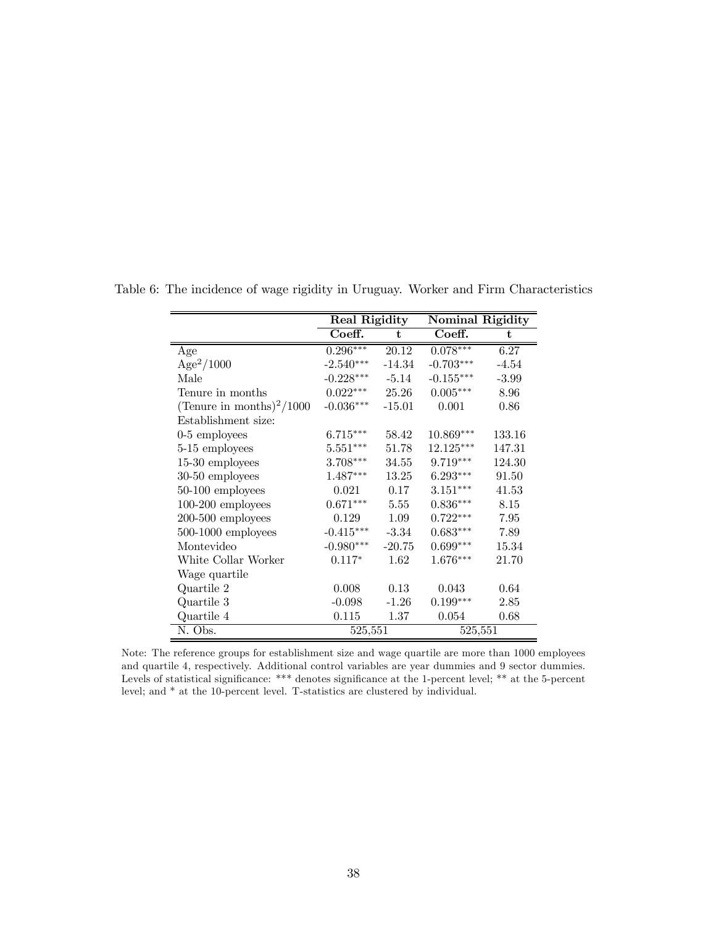|                                     | <b>Real Rigidity</b>   |          | Nominal Rigidity |         |
|-------------------------------------|------------------------|----------|------------------|---------|
|                                     | Coeff.                 | t        | Coeff.           | t       |
| Age                                 | $0.296***$             | 20.12    | $0.078***$       | 6.27    |
| $Age^2/1000$                        | $-2.540***$            | $-14.34$ | $-0.703***$      | $-4.54$ |
| Male                                | $-0.228***$            | $-5.14$  | $-0.155***$      | $-3.99$ |
| Tenure in months                    | $0.022***$             | 25.26    | $0.005***$       | 8.96    |
| (Tenure in months) $\frac{2}{1000}$ | $-0.036***$            | $-15.01$ | 0.001            | 0.86    |
| Establishment size:                 |                        |          |                  |         |
| $0-5$ employees                     | $6.715***$             | 58.42    | $10.869***$      | 133.16  |
| 5-15 employees                      | $5.551***$             | 51.78    | $12.125***$      | 147.31  |
| 15-30 employees                     | $3.708^{\ast\ast\ast}$ | 34.55    | $9.719***$       | 124.30  |
| 30-50 employees                     | $1.487***$             | 13.25    | $6.293***$       | 91.50   |
| 50-100 employees                    | 0.021                  | 0.17     | $3.151***$       | 41.53   |
| $100-200$ employees                 | $0.671^{\ast\ast\ast}$ | 5.55     | $0.836***$       | 8.15    |
| $200-500$ employees                 | 0.129                  | 1.09     | $0.722***$       | 7.95    |
| $500-1000$ employees                | $-0.415***$            | $-3.34$  | $0.683***$       | 7.89    |
| Montevideo                          | $-0.980***$            | $-20.75$ | $0.699***$       | 15.34   |
| White Collar Worker                 | $0.117*$               | 1.62     | $1.676***$       | 21.70   |
| Wage quartile                       |                        |          |                  |         |
| Quartile 2                          | 0.008                  | 0.13     | 0.043            | 0.64    |
| Quartile 3                          | $-0.098$               | $-1.26$  | $0.199***$       | 2.85    |
| Quartile 4                          | 0.115                  | 1.37     | 0.054            | 0.68    |
| N. Obs.                             | 525,551                |          | 525,551          |         |

Table 6: The incidence of wage rigidity in Uruguay. Worker and Firm Characteristics

Note: The reference groups for establishment size and wage quartile are more than 1000 employees and quartile 4, respectively. Additional control variables are year dummies and 9 sector dummies. Levels of statistical significance: \*\*\* denotes significance at the 1-percent level; \*\* at the 5-percent level; and \* at the 10-percent level. T-statistics are clustered by individual.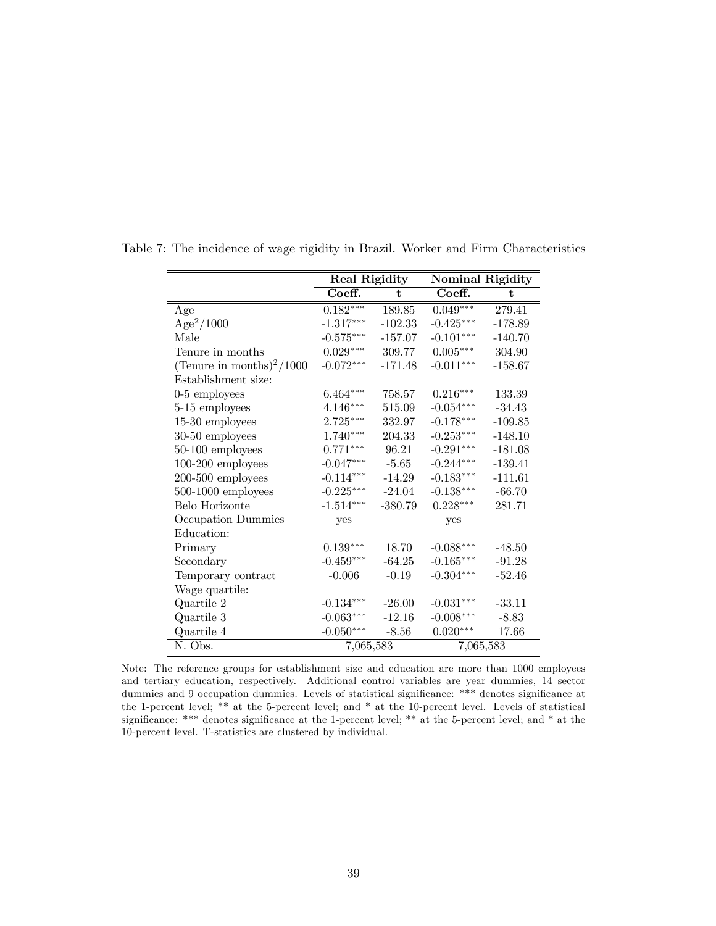|                                     | <b>Real Rigidity</b>       |                        | Nominal Rigidity |           |
|-------------------------------------|----------------------------|------------------------|------------------|-----------|
|                                     | $\overline{\text{Coeff.}}$ | $\mathbf t$            | Coeff.           | t         |
| Age                                 | $0.182***$                 | 189.85                 | $0.049***$       | 279.41    |
| $Age^2/1000$                        | $-1.317***$                | $-102.33$              | $-0.425***$      | $-178.89$ |
| Male                                | $-0.575***$                | $-157.07$              | $-0.101***$      | $-140.70$ |
| Tenure in months                    | $0.029^{***}\,$            | 309.77                 | $0.005***$       | 304.90    |
| (Tenure in months) $\frac{2}{1000}$ | $-0.072***$                | $-171.48$              | $-0.011***$      | $-158.67$ |
| Establishment size:                 |                            |                        |                  |           |
| $0-5$ employees                     | $6.464***$                 | 758.57                 | $0.216***$       | 133.39    |
| 5-15 employees                      | $4.146***$                 | 515.09                 | $-0.054***$      | $-34.43$  |
| 15-30 employees                     | $2.725^{\ast\ast\ast}$     | 332.97                 | $-0.178***$      | $-109.85$ |
| 30-50 employees                     | $1.740***$                 | 204.33                 | $-0.253***$      | $-148.10$ |
| $50-100$ employees                  | $0.771***$                 | 96.21                  | $-0.291***$      | $-181.08$ |
| $100-200$ employees                 | $-0.047***$                | $-5.65$                | $-0.244***$      | $-139.41$ |
| $200-500$ employees                 | $-0.114***$                | $-14.29$               | $-0.183***$      | $-111.61$ |
| $500-1000$ employees                | $-0.225***$                | $-24.04$               | $-0.138***$      | $-66.70$  |
| Belo Horizonte                      | $-1.514***$                | $-380.79$              | $0.228***$       | 281.71    |
| Occupation Dummies                  | yes                        |                        | yes              |           |
| Education:                          |                            |                        |                  |           |
| Primary                             | $0.139***$                 | 18.70                  | $-0.088***$      | $-48.50$  |
| Secondary                           | $-0.459***$                | $-64.25$               | $-0.165***$      | $-91.28$  |
| Temporary contract                  | $-0.006$                   | $-0.19$                | $-0.304***$      | $-52.46$  |
| Wage quartile:                      |                            |                        |                  |           |
| Quartile 2                          | $-0.134***$                | $-26.00$               | $-0.031***$      | $-33.11$  |
| Quartile 3                          | $-0.063***$                | $-12.16$               | $-0.008***$      | $-8.83$   |
| Quartile 4                          | $-0.050***$                | -8.56                  | $0.020***$       | 17.66     |
| N. Obs.                             |                            | 7,065,583<br>7,065,583 |                  |           |

Table 7: The incidence of wage rigidity in Brazil. Worker and Firm Characteristics

Note: The reference groups for establishment size and education are more than 1000 employees and tertiary education, respectively. Additional control variables are year dummies, 14 sector dummies and 9 occupation dummies. Levels of statistical significance: \*\*\* denotes significance at the 1-percent level; \*\* at the 5-percent level; and \* at the 10-percent level. Levels of statistical significance: \*\*\* denotes significance at the 1-percent level; \*\* at the 5-percent level; and \* at the 10-percent level. T-statistics are clustered by individual.